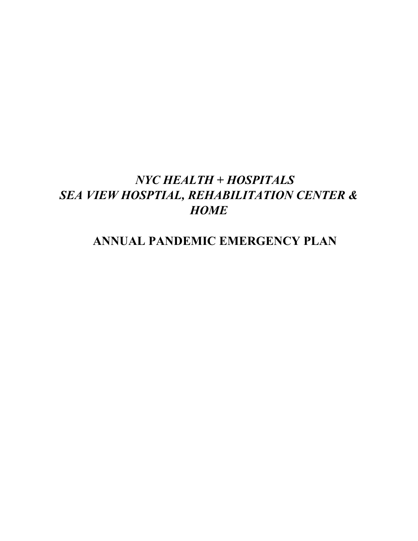# *NYC HEALTH + HOSPITALS SEA VIEW HOSPTIAL, REHABILITATION CENTER & HOME*

# **ANNUAL PANDEMIC EMERGENCY PLAN**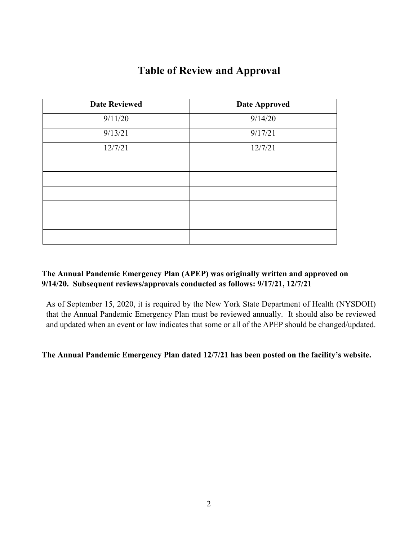| <b>Date Reviewed</b> | <b>Date Approved</b> |
|----------------------|----------------------|
| 9/11/20              | 9/14/20              |
| 9/13/21              | 9/17/21              |
| 12/7/21              | 12/7/21              |
|                      |                      |
|                      |                      |
|                      |                      |
|                      |                      |
|                      |                      |
|                      |                      |

## **The Annual Pandemic Emergency Plan (APEP) was originally written and approved on 9/14/20. Subsequent reviews/approvals conducted as follows: 9/17/21, 12/7/21**

As of September 15, 2020, it is required by the New York State Department of Health (NYSDOH) that the Annual Pandemic Emergency Plan must be reviewed annually. It should also be reviewed and updated when an event or law indicates that some or all of the APEP should be changed/updated.

**The Annual Pandemic Emergency Plan dated 12/7/21 has been posted on the facility's website.**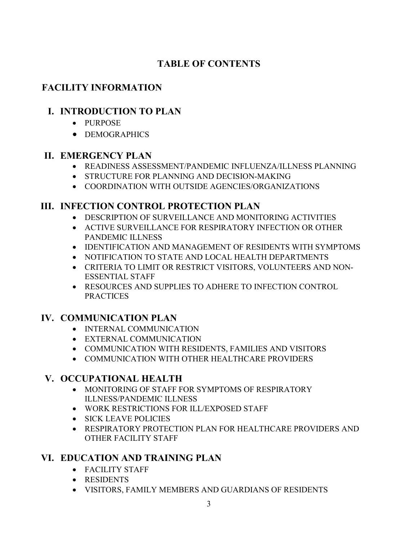# **TABLE OF CONTENTS**

# **FACILITY INFORMATION**

# **I. INTRODUCTION TO PLAN**

- PURPOSE
- DEMOGRAPHICS

## **II. EMERGENCY PLAN**

- READINESS ASSESSMENT/PANDEMIC INFLUENZA/ILLNESS PLANNING
- STRUCTURE FOR PLANNING AND DECISION-MAKING
- COORDINATION WITH OUTSIDE AGENCIES/ORGANIZATIONS

# **III. INFECTION CONTROL PROTECTION PLAN**

- DESCRIPTION OF SURVEILLANCE AND MONITORING ACTIVITIES
- ACTIVE SURVEILLANCE FOR RESPIRATORY INFECTION OR OTHER PANDEMIC ILLNESS
- IDENTIFICATION AND MANAGEMENT OF RESIDENTS WITH SYMPTOMS
- NOTIFICATION TO STATE AND LOCAL HEALTH DEPARTMENTS
- CRITERIA TO LIMIT OR RESTRICT VISITORS, VOLUNTEERS AND NON-ESSENTIAL STAFF
- RESOURCES AND SUPPLIES TO ADHERE TO INFECTION CONTROL PRACTICES

# **IV. COMMUNICATION PLAN**

- INTERNAL COMMUNICATION
- EXTERNAL COMMUNICATION
- COMMUNICATION WITH RESIDENTS, FAMILIES AND VISITORS
- COMMUNICATION WITH OTHER HEALTHCARE PROVIDERS

# **V. OCCUPATIONAL HEALTH**

- MONITORING OF STAFF FOR SYMPTOMS OF RESPIRATORY ILLNESS/PANDEMIC ILLNESS
- WORK RESTRICTIONS FOR ILL/EXPOSED STAFF
- SICK LEAVE POLICIES
- RESPIRATORY PROTECTION PLAN FOR HEALTHCARE PROVIDERS AND OTHER FACILITY STAFF

# **VI. EDUCATION AND TRAINING PLAN**

- FACILITY STAFF
- RESIDENTS
- VISITORS, FAMILY MEMBERS AND GUARDIANS OF RESIDENTS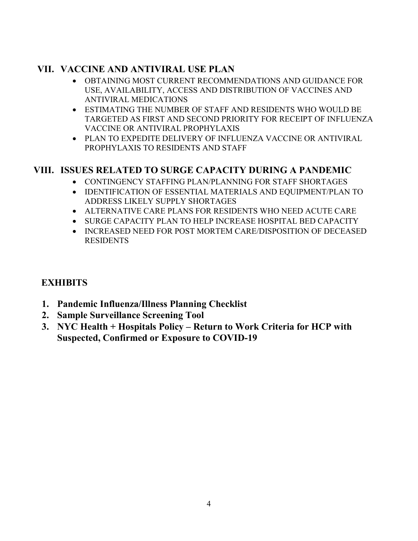# **VII. VACCINE AND ANTIVIRAL USE PLAN**

- OBTAINING MOST CURRENT RECOMMENDATIONS AND GUIDANCE FOR USE, AVAILABILITY, ACCESS AND DISTRIBUTION OF VACCINES AND ANTIVIRAL MEDICATIONS
- ESTIMATING THE NUMBER OF STAFF AND RESIDENTS WHO WOULD BE TARGETED AS FIRST AND SECOND PRIORITY FOR RECEIPT OF INFLUENZA VACCINE OR ANTIVIRAL PROPHYLAXIS
- PLAN TO EXPEDITE DELIVERY OF INFLUENZA VACCINE OR ANTIVIRAL PROPHYLAXIS TO RESIDENTS AND STAFF

# **VIII. ISSUES RELATED TO SURGE CAPACITY DURING A PANDEMIC**

- CONTINGENCY STAFFING PLAN/PLANNING FOR STAFF SHORTAGES
- IDENTIFICATION OF ESSENTIAL MATERIALS AND EQUIPMENT/PLAN TO ADDRESS LIKELY SUPPLY SHORTAGES
- ALTERNATIVE CARE PLANS FOR RESIDENTS WHO NEED ACUTE CARE
- SURGE CAPACITY PLAN TO HELP INCREASE HOSPITAL BED CAPACITY
- INCREASED NEED FOR POST MORTEM CARE/DISPOSITION OF DECEASED RESIDENTS

# **EXHIBITS**

- **1. Pandemic Influenza/Illness Planning Checklist**
- **2. Sample Surveillance Screening Tool**
- **3. NYC Health + Hospitals Policy – Return to Work Criteria for HCP with Suspected, Confirmed or Exposure to COVID-19**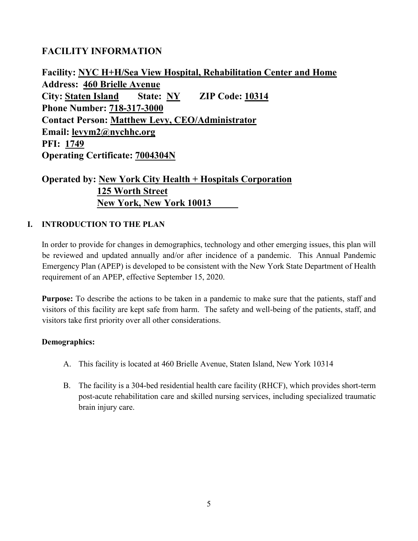## **FACILITY INFORMATION**

**Facility: NYC H+H/Sea View Hospital, Rehabilitation Center and Home Address: 460 Brielle Avenue City: Staten Island State: NY ZIP Code: 10314 Phone Number: 718-317-3000 Contact Person: Matthew Levy, CEO/Administrator Email: levym2@nychhc.org PFI: 1749 Operating Certificate: 7004304N**

# **Operated by: New York City Health + Hospitals Corporation 125 Worth Street New York, New York 10013**

## **I. INTRODUCTION TO THE PLAN**

In order to provide for changes in demographics, technology and other emerging issues, this plan will be reviewed and updated annually and/or after incidence of a pandemic. This Annual Pandemic Emergency Plan (APEP) is developed to be consistent with the New York State Department of Health requirement of an APEP, effective September 15, 2020.

**Purpose:** To describe the actions to be taken in a pandemic to make sure that the patients, staff and visitors of this facility are kept safe from harm. The safety and well-being of the patients, staff, and visitors take first priority over all other considerations.

#### **Demographics:**

- A. This facility is located at 460 Brielle Avenue, Staten Island, New York 10314
- B. The facility is a 304-bed residential health care facility (RHCF), which provides short-term post-acute rehabilitation care and skilled nursing services, including specialized traumatic brain injury care.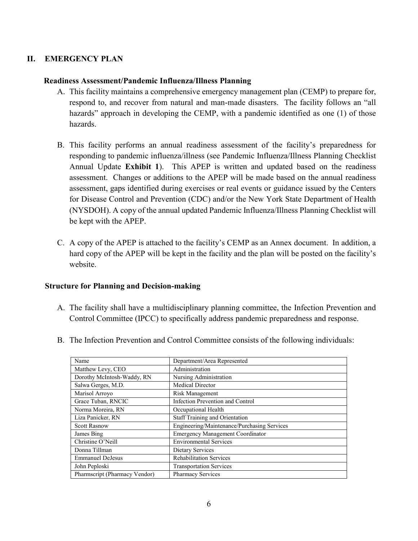#### **II. EMERGENCY PLAN**

#### **Readiness Assessment/Pandemic Influenza/Illness Planning**

- A. This facility maintains a comprehensive emergency management plan (CEMP) to prepare for, respond to, and recover from natural and man-made disasters. The facility follows an "all hazards" approach in developing the CEMP, with a pandemic identified as one (1) of those hazards.
- B. This facility performs an annual readiness assessment of the facility's preparedness for responding to pandemic influenza/illness (see Pandemic Influenza/Illness Planning Checklist Annual Update **Exhibit 1**). This APEP is written and updated based on the readiness assessment. Changes or additions to the APEP will be made based on the annual readiness assessment, gaps identified during exercises or real events or guidance issued by the Centers for Disease Control and Prevention (CDC) and/or the New York State Department of Health (NYSDOH). A copy of the annual updated Pandemic Influenza/Illness Planning Checklist will be kept with the APEP.
- C. A copy of the APEP is attached to the facility's CEMP as an Annex document. In addition, a hard copy of the APEP will be kept in the facility and the plan will be posted on the facility's website.

#### **Structure for Planning and Decision-making**

A. The facility shall have a multidisciplinary planning committee, the Infection Prevention and Control Committee (IPCC) to specifically address pandemic preparedness and response.

| Name                          | Department/Area Represented                 |
|-------------------------------|---------------------------------------------|
| Matthew Levy, CEO             | Administration                              |
| Dorothy McIntosh-Waddy, RN    | Nursing Administration                      |
| Salwa Gerges, M.D.            | Medical Director                            |
| Marisol Arroyo                | Risk Management                             |
| Grace Tuban, RNCIC            | Infection Prevention and Control            |
| Norma Moreira, RN             | Occupational Health                         |
| Liza Panicker, RN             | Staff Training and Orientation              |
| <b>Scott Rasnow</b>           | Engineering/Maintenance/Purchasing Services |
| James Bing                    | <b>Emergency Management Coordinator</b>     |
| Christine O'Neill             | <b>Environmental Services</b>               |
| Donna Tillman                 | Dietary Services                            |
| <b>Emmanuel DeJesus</b>       | <b>Rehabilitation Services</b>              |
| John Peploski                 | <b>Transportation Services</b>              |
| Pharmscript (Pharmacy Vendor) | <b>Pharmacy Services</b>                    |

B. The Infection Prevention and Control Committee consists of the following individuals: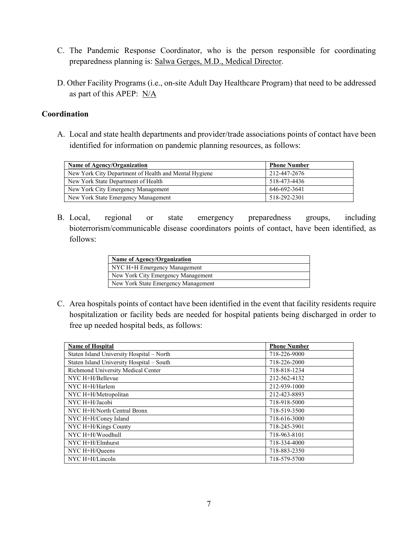- C. The Pandemic Response Coordinator, who is the person responsible for coordinating preparedness planning is: Salwa Gerges, M.D., Medical Director.
- D. Other Facility Programs (i.e., on-site Adult Day Healthcare Program) that need to be addressed as part of this APEP: N/A

#### **Coordination**

A. Local and state health departments and provider/trade associations points of contact have been identified for information on pandemic planning resources, as follows:

| Name of Agency/Organization                           | <b>Phone Number</b> |
|-------------------------------------------------------|---------------------|
| New York City Department of Health and Mental Hygiene | 212-447-2676        |
| New York State Department of Health                   | 518-473-4436        |
| New York City Emergency Management                    | 646-692-3641        |
| New York State Emergency Management                   | 518-292-2301        |

B. Local, regional or state emergency preparedness groups, including bioterrorism/communicable disease coordinators points of contact, have been identified, as follows:

| Name of Agency/Organization         |
|-------------------------------------|
| NYC H+H Emergency Management        |
| New York City Emergency Management  |
| New York State Emergency Management |

C. Area hospitals points of contact have been identified in the event that facility residents require hospitalization or facility beds are needed for hospital patients being discharged in order to free up needed hospital beds, as follows:

| <b>Name of Hospital</b>                   | <b>Phone Number</b> |
|-------------------------------------------|---------------------|
| Staten Island University Hospital - North | 718-226-9000        |
| Staten Island University Hospital - South | 718-226-2000        |
| Richmond University Medical Center        | 718-818-1234        |
| NYC H+H/Bellevue                          | 212-562-4132        |
| NYC H+H/Harlem                            | 212-939-1000        |
| NYC H+H/Metropolitan                      | 212-423-8893        |
| NYC H+H/Jacobi                            | 718-918-5000        |
| NYC H+H/North Central Bronx               | 718-519-3500        |
| NYC H+H/Coney Island                      | 718-616-3000        |
| NYC H+H/Kings County                      | 718-245-3901        |
| NYC H+H/Woodhull                          | 718-963-8101        |
| NYC H+H/Elmhurst                          | 718-334-4000        |
| NYC H+H/Queens                            | 718-883-2350        |
| NYC H+H/Lincoln                           | 718-579-5700        |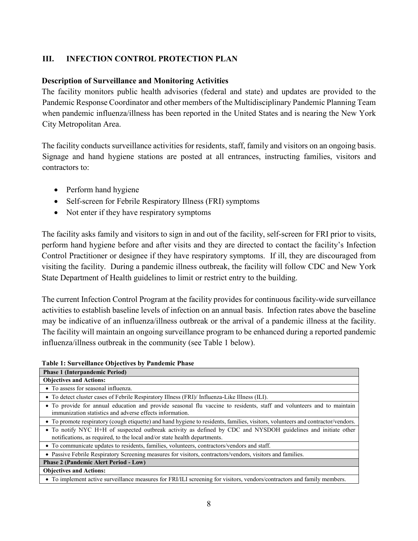### **III. INFECTION CONTROL PROTECTION PLAN**

#### **Description of Surveillance and Monitoring Activities**

The facility monitors public health advisories (federal and state) and updates are provided to the Pandemic Response Coordinator and other members of the Multidisciplinary Pandemic Planning Team when pandemic influenza/illness has been reported in the United States and is nearing the New York City Metropolitan Area.

The facility conducts surveillance activities for residents, staff, family and visitors on an ongoing basis. Signage and hand hygiene stations are posted at all entrances, instructing families, visitors and contractors to:

- Perform hand hygiene
- Self-screen for Febrile Respiratory Illness (FRI) symptoms
- Not enter if they have respiratory symptoms

The facility asks family and visitors to sign in and out of the facility, self-screen for FRI prior to visits, perform hand hygiene before and after visits and they are directed to contact the facility's Infection Control Practitioner or designee if they have respiratory symptoms. If ill, they are discouraged from visiting the facility. During a pandemic illness outbreak, the facility will follow CDC and New York State Department of Health guidelines to limit or restrict entry to the building.

The current Infection Control Program at the facility provides for continuous facility-wide surveillance activities to establish baseline levels of infection on an annual basis. Infection rates above the baseline may be indicative of an influenza/illness outbreak or the arrival of a pandemic illness at the facility. The facility will maintain an ongoing surveillance program to be enhanced during a reported pandemic influenza/illness outbreak in the community (see Table 1 below).

| <b>Phase 1 (Interpandemic Period)</b>                                                                                                                                                      |
|--------------------------------------------------------------------------------------------------------------------------------------------------------------------------------------------|
| <b>Objectives and Actions:</b>                                                                                                                                                             |
| • To assess for seasonal influenza.                                                                                                                                                        |
| • To detect cluster cases of Febrile Respiratory Illness (FRI)/ Influenza-Like Illness (ILI).                                                                                              |
| • To provide for annual education and provide seasonal flu vaccine to residents, staff and volunteers and to maintain<br>immunization statistics and adverse effects information.          |
| • To promote respiratory (cough etiquette) and hand hygiene to residents, families, visitors, volunteers and contractor/vendors.                                                           |
| • To notify NYC H+H of suspected outbreak activity as defined by CDC and NYSDOH guidelines and initiate other<br>notifications, as required, to the local and/or state health departments. |
| • To communicate updates to residents, families, volunteers, contractors/vendors and staff.                                                                                                |
| • Passive Febrile Respiratory Screening measures for visitors, contractors/vendors, visitors and families.                                                                                 |
| <b>Phase 2 (Pandemic Alert Period - Low)</b>                                                                                                                                               |
| <b>Objectives and Actions:</b>                                                                                                                                                             |
| • To implement active surveillance measures for FRI/ILI screening for visitors, vendors/contractors and family members.                                                                    |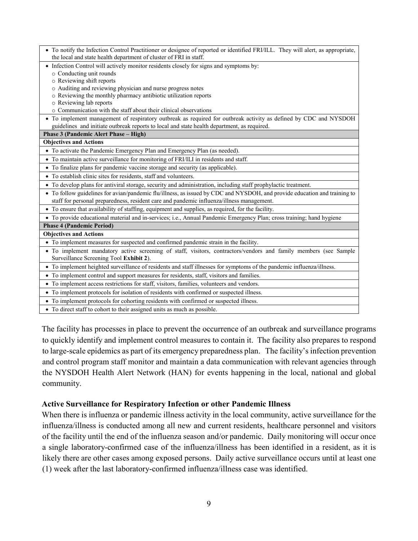| • To notify the Infection Control Practitioner or designee of reported or identified FRI/ILL. They will alert, as appropriate,                                                                                         |
|------------------------------------------------------------------------------------------------------------------------------------------------------------------------------------------------------------------------|
| the local and state health department of cluster of FRI in staff.                                                                                                                                                      |
| • Infection Control will actively monitor residents closely for signs and symptoms by:                                                                                                                                 |
| o Conducting unit rounds                                                                                                                                                                                               |
| o Reviewing shift reports                                                                                                                                                                                              |
| Auditing and reviewing physician and nurse progress notes<br>$\circ$                                                                                                                                                   |
| o Reviewing the monthly pharmacy antibiotic utilization reports                                                                                                                                                        |
| o Reviewing lab reports                                                                                                                                                                                                |
| o Communication with the staff about their clinical observations                                                                                                                                                       |
| • To implement management of respiratory outbreak as required for outbreak activity as defined by CDC and NYSDOH                                                                                                       |
| guidelines and initiate outbreak reports to local and state health department, as required.                                                                                                                            |
| Phase 3 (Pandemic Alert Phase - High)                                                                                                                                                                                  |
| <b>Objectives and Actions</b>                                                                                                                                                                                          |
| • To activate the Pandemic Emergency Plan and Emergency Plan (as needed).                                                                                                                                              |
| • To maintain active surveillance for monitoring of FRI/ILI in residents and staff.                                                                                                                                    |
| • To finalize plans for pandemic vaccine storage and security (as applicable).                                                                                                                                         |
| • To establish clinic sites for residents, staff and volunteers.                                                                                                                                                       |
| • To develop plans for antiviral storage, security and administration, including staff prophylactic treatment.                                                                                                         |
| • To follow guidelines for avian/pandemic flu/illness, as issued by CDC and NYSDOH, and provide education and training to<br>staff for personal preparedness, resident care and pandemic influenza/illness management. |
| • To ensure that availability of staffing, equipment and supplies, as required, for the facility.                                                                                                                      |
| • To provide educational material and in-services; i.e., Annual Pandemic Emergency Plan; cross training; hand hygiene                                                                                                  |
| <b>Phase 4 (Pandemic Period)</b>                                                                                                                                                                                       |
| <b>Objectives and Actions</b>                                                                                                                                                                                          |
| • To implement measures for suspected and confirmed pandemic strain in the facility.                                                                                                                                   |
| · To implement mandatory active screening of staff, visitors, contractors/vendors and family members (see Sample<br>Surveillance Screening Tool Exhibit 2).                                                            |
| • To implement heighted surveillance of residents and staff illnesses for symptoms of the pandemic influenza/illness.                                                                                                  |
| • To implement control and support measures for residents, staff, visitors and families.                                                                                                                               |
| • To implement access restrictions for staff, visitors, families, volunteers and vendors.                                                                                                                              |
| • To implement protocols for isolation of residents with confirmed or suspected illness.                                                                                                                               |
| • To implement protocols for cohorting residents with confirmed or suspected illness.                                                                                                                                  |
| • To direct staff to cohort to their assigned units as much as possible.                                                                                                                                               |

The facility has processes in place to prevent the occurrence of an outbreak and surveillance programs to quickly identify and implement control measures to contain it. The facility also prepares to respond to large-scale epidemics as part of its emergency preparedness plan. The facility's infection prevention and control program staff monitor and maintain a data communication with relevant agencies through the NYSDOH Health Alert Network (HAN) for events happening in the local, national and global community.

#### **Active Surveillance for Respiratory Infection or other Pandemic Illness**

When there is influenza or pandemic illness activity in the local community, active surveillance for the influenza/illness is conducted among all new and current residents, healthcare personnel and visitors of the facility until the end of the influenza season and/or pandemic. Daily monitoring will occur once a single laboratory-confirmed case of the influenza/illness has been identified in a resident, as it is likely there are other cases among exposed persons. Daily active surveillance occurs until at least one (1) week after the last laboratory-confirmed influenza/illness case was identified.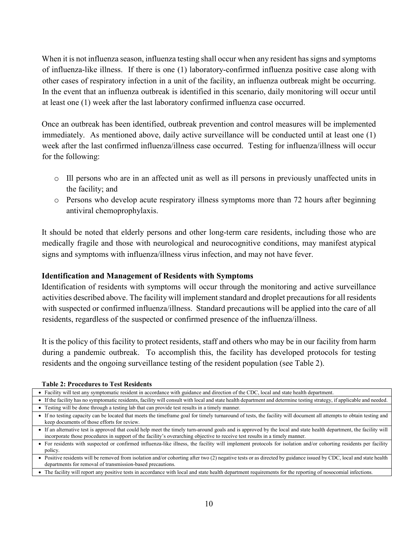When it is not influenza season, influenza testing shall occur when any resident has signs and symptoms of influenza-like illness. If there is one (1) laboratory-confirmed influenza positive case along with other cases of respiratory infection in a unit of the facility, an influenza outbreak might be occurring. In the event that an influenza outbreak is identified in this scenario, daily monitoring will occur until at least one (1) week after the last laboratory confirmed influenza case occurred.

Once an outbreak has been identified, outbreak prevention and control measures will be implemented immediately. As mentioned above, daily active surveillance will be conducted until at least one (1) week after the last confirmed influenza/illness case occurred. Testing for influenza/illness will occur for the following:

- o Ill persons who are in an affected unit as well as ill persons in previously unaffected units in the facility; and
- $\circ$  Persons who develop acute respiratory illness symptoms more than 72 hours after beginning antiviral chemoprophylaxis.

It should be noted that elderly persons and other long-term care residents, including those who are medically fragile and those with neurological and neurocognitive conditions, may manifest atypical signs and symptoms with influenza/illness virus infection, and may not have fever.

#### **Identification and Management of Residents with Symptoms**

Identification of residents with symptoms will occur through the monitoring and active surveillance activities described above. The facility will implement standard and droplet precautions for all residents with suspected or confirmed influenza/illness. Standard precautions will be applied into the care of all residents, regardless of the suspected or confirmed presence of the influenza/illness.

It is the policy of this facility to protect residents, staff and others who may be in our facility from harm during a pandemic outbreak. To accomplish this, the facility has developed protocols for testing residents and the ongoing surveillance testing of the resident population (see Table 2).

**Table 2: Procedures to Test Residents**

|  |  |  |  |  |  |  | • Facility will test any symptomatic resident in accordance with guidance and direction of the CDC, local and state health department. |
|--|--|--|--|--|--|--|----------------------------------------------------------------------------------------------------------------------------------------|
|--|--|--|--|--|--|--|----------------------------------------------------------------------------------------------------------------------------------------|

• If the facility has no symptomatic residents, facility will consult with local and state health department and determine testing strategy, if applicable and needed. • Testing will be done through a testing lab that can provide test results in a timely manner.

• If no testing capacity can be located that meets the timeframe goal for timely turnaround of tests, the facility will document all attempts to obtain testing and keep documents of those efforts for review.

• If an alternative test is approved that could help meet the timely turn-around goals and is approved by the local and state health department, the facility will incorporate those procedures in support of the facility's overarching objective to receive test results in a timely manner.

• For residents with suspected or confirmed influenza-like illness, the facility will implement protocols for isolation and/or cohorting residents per facility policy.

• Positive residents will be removed from isolation and/or cohorting after two (2) negative tests or as directed by guidance issued by CDC, local and state health departments for removal of transmission-based precautions.

• The facility will report any positive tests in accordance with local and state health department requirements for the reporting of nosocomial infections.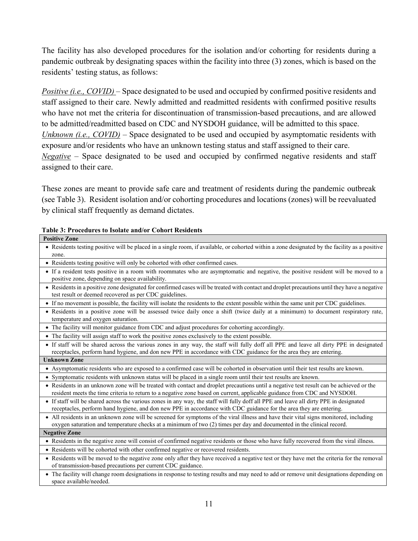The facility has also developed procedures for the isolation and/or cohorting for residents during a pandemic outbreak by designating spaces within the facility into three (3) zones, which is based on the residents' testing status, as follows:

*Positive (i.e., COVID)* – Space designated to be used and occupied by confirmed positive residents and staff assigned to their care. Newly admitted and readmitted residents with confirmed positive results who have not met the criteria for discontinuation of transmission-based precautions, and are allowed to be admitted/readmitted based on CDC and NYSDOH guidance, will be admitted to this space. *Unknown (i.e., COVID)* – Space designated to be used and occupied by asymptomatic residents with exposure and/or residents who have an unknown testing status and staff assigned to their care. *Negative* – Space designated to be used and occupied by confirmed negative residents and staff assigned to their care.

These zones are meant to provide safe care and treatment of residents during the pandemic outbreak (see Table 3). Resident isolation and/or cohorting procedures and locations (zones) will be reevaluated by clinical staff frequently as demand dictates.

|  |  |  |  |  |  | Table 3: Procedures to Isolate and/or Cohort Residents |  |
|--|--|--|--|--|--|--------------------------------------------------------|--|
|--|--|--|--|--|--|--------------------------------------------------------|--|

| <b>Positive Zone</b>                                                                                                                                                                                                                                                |
|---------------------------------------------------------------------------------------------------------------------------------------------------------------------------------------------------------------------------------------------------------------------|
| • Residents testing positive will be placed in a single room, if available, or cohorted within a zone designated by the facility as a positive                                                                                                                      |
| zone.                                                                                                                                                                                                                                                               |
| • Residents testing positive will only be cohorted with other confirmed cases.                                                                                                                                                                                      |
| • If a resident tests positive in a room with roommates who are asymptomatic and negative, the positive resident will be moved to a<br>positive zone, depending on space availability.                                                                              |
| • Residents in a positive zone designated for confirmed cases will be treated with contact and droplet precautions until they have a negative<br>test result or deemed recovered as per CDC guidelines.                                                             |
| • If no movement is possible, the facility will isolate the residents to the extent possible within the same unit per CDC guidelines.                                                                                                                               |
| · Residents in a positive zone will be assessed twice daily once a shift (twice daily at a minimum) to document respiratory rate,<br>temperature and oxygen saturation.                                                                                             |
| • The facility will monitor guidance from CDC and adjust procedures for cohorting accordingly.                                                                                                                                                                      |
| • The facility will assign staff to work the positive zones exclusively to the extent possible.                                                                                                                                                                     |
| • If staff will be shared across the various zones in any way, the staff will fully doff all PPE and leave all dirty PPE in designated                                                                                                                              |
| receptacles, perform hand hygiene, and don new PPE in accordance with CDC guidance for the area they are entering.                                                                                                                                                  |
| <b>Unknown Zone</b>                                                                                                                                                                                                                                                 |
| • Asymptomatic residents who are exposed to a confirmed case will be cohorted in observation until their test results are known.                                                                                                                                    |
| • Symptomatic residents with unknown status will be placed in a single room until their test results are known.                                                                                                                                                     |
| • Residents in an unknown zone will be treated with contact and droplet precautions until a negative test result can be achieved or the<br>resident meets the time criteria to return to a negative zone based on current, applicable guidance from CDC and NYSDOH. |
| • If staff will be shared across the various zones in any way, the staff will fully doff all PPE and leave all dirty PPE in designated                                                                                                                              |
| receptacles, perform hand hygiene, and don new PPE in accordance with CDC guidance for the area they are entering.                                                                                                                                                  |
| • All residents in an unknown zone will be screened for symptoms of the viral illness and have their vital signs monitored, including                                                                                                                               |
| oxygen saturation and temperature checks at a minimum of two (2) times per day and documented in the clinical record.                                                                                                                                               |
| <b>Negative Zone</b>                                                                                                                                                                                                                                                |
| • Residents in the negative zone will consist of confirmed negative residents or those who have fully recovered from the viral illness.                                                                                                                             |
| • Residents will be cohorted with other confirmed negative or recovered residents.                                                                                                                                                                                  |
| • Residents will be moved to the negative zone only after they have received a negative test or they have met the criteria for the removal                                                                                                                          |
| of transmission-based precautions per current CDC guidance.                                                                                                                                                                                                         |
| • The facility will change room designations in response to testing results and may need to add or remove unit designations depending on<br>space available/needed.                                                                                                 |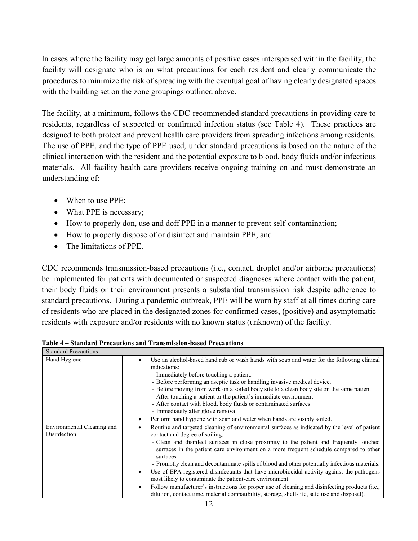In cases where the facility may get large amounts of positive cases interspersed within the facility, the facility will designate who is on what precautions for each resident and clearly communicate the procedures to minimize the risk of spreading with the eventual goal of having clearly designated spaces with the building set on the zone groupings outlined above.

The facility, at a minimum, follows the CDC-recommended standard precautions in providing care to residents, regardless of suspected or confirmed infection status (see Table 4). These practices are designed to both protect and prevent health care providers from spreading infections among residents. The use of PPE, and the type of PPE used, under standard precautions is based on the nature of the clinical interaction with the resident and the potential exposure to blood, body fluids and/or infectious materials. All facility health care providers receive ongoing training on and must demonstrate an understanding of:

- When to use PPE;
- What PPE is necessary;
- How to properly don, use and doff PPE in a manner to prevent self-contamination;
- How to properly dispose of or disinfect and maintain PPE; and
- The limitations of PPE.

CDC recommends transmission-based precautions (i.e., contact, droplet and/or airborne precautions) be implemented for patients with documented or suspected diagnoses where contact with the patient, their body fluids or their environment presents a substantial transmission risk despite adherence to standard precautions. During a pandemic outbreak, PPE will be worn by staff at all times during care of residents who are placed in the designated zones for confirmed cases, (positive) and asymptomatic residents with exposure and/or residents with no known status (unknown) of the facility.

| <b>Standard Precautions</b>                |                                                                                                                                                                                                                                                                                                                                                                                                                                                                                                                                                                                                                                                                                                                                                                                                                          |
|--------------------------------------------|--------------------------------------------------------------------------------------------------------------------------------------------------------------------------------------------------------------------------------------------------------------------------------------------------------------------------------------------------------------------------------------------------------------------------------------------------------------------------------------------------------------------------------------------------------------------------------------------------------------------------------------------------------------------------------------------------------------------------------------------------------------------------------------------------------------------------|
| Hand Hygiene                               | Use an alcohol-based hand rub or wash hands with soap and water for the following clinical<br>٠<br>indications:<br>- Immediately before touching a patient.<br>- Before performing an aseptic task or handling invasive medical device.<br>- Before moving from work on a soiled body site to a clean body site on the same patient.<br>- After touching a patient or the patient's immediate environment<br>- After contact with blood, body fluids or contaminated surfaces<br>- Immediately after glove removal<br>Perform hand hygiene with soap and water when hands are visibly soiled.<br>$\bullet$                                                                                                                                                                                                               |
| Environmental Cleaning and<br>Disinfection | Routine and targeted cleaning of environmental surfaces as indicated by the level of patient<br>contact and degree of soiling.<br>- Clean and disinfect surfaces in close proximity to the patient and frequently touched<br>surfaces in the patient care environment on a more frequent schedule compared to other<br>surfaces.<br>- Promptly clean and decontaminate spills of blood and other potentially infectious materials.<br>Use of EPA-registered disinfectants that have microbiocidal activity against the pathogens<br>$\bullet$<br>most likely to contaminate the patient-care environment.<br>Follow manufacturer's instructions for proper use of cleaning and disinfecting products (i.e.,<br>$\bullet$<br>dilution, contact time, material compatibility, storage, shelf-life, safe use and disposal). |

**Table 4 – Standard Precautions and Transmission-based Precautions**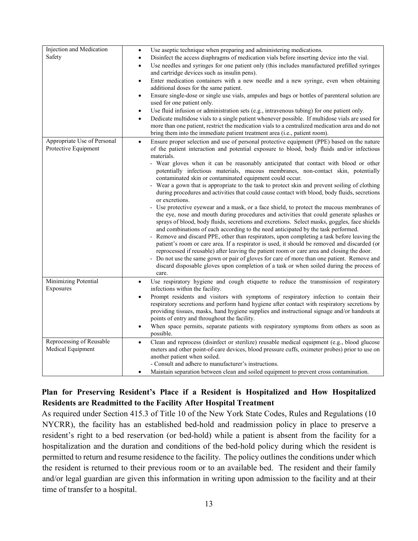| Injection and Medication    | Use aseptic technique when preparing and administering medications.<br>$\bullet$                                                              |
|-----------------------------|-----------------------------------------------------------------------------------------------------------------------------------------------|
| Safety                      | Disinfect the access diaphragms of medication vials before inserting device into the vial.<br>$\bullet$                                       |
|                             | Use needles and syringes for one patient only (this includes manufactured prefilled syringes<br>$\bullet$                                     |
|                             | and cartridge devices such as insulin pens).                                                                                                  |
|                             | Enter medication containers with a new needle and a new syringe, even when obtaining<br>$\bullet$                                             |
|                             | additional doses for the same patient.                                                                                                        |
|                             | Ensure single-dose or single use vials, ampules and bags or bottles of parenteral solution are<br>$\bullet$                                   |
|                             | used for one patient only.                                                                                                                    |
|                             | Use fluid infusion or administration sets (e.g., intravenous tubing) for one patient only.<br>$\bullet$                                       |
|                             | Dedicate multidose vials to a single patient whenever possible. If multidose vials are used for<br>$\bullet$                                  |
|                             | more than one patient, restrict the medication vials to a centralized medication area and do not                                              |
|                             | bring them into the immediate patient treatment area (i.e., patient room).                                                                    |
| Appropriate Use of Personal | Ensure proper selection and use of personal protective equipment (PPE) based on the nature<br>$\bullet$                                       |
| Protective Equipment        | of the patient interaction and potential exposure to blood, body fluids and/or infectious                                                     |
|                             | materials.                                                                                                                                    |
|                             | - Wear gloves when it can be reasonably anticipated that contact with blood or other                                                          |
|                             | potentially infectious materials, mucous membranes, non-contact skin, potentially<br>contaminated skin or contaminated equipment could occur. |
|                             | - Wear a gown that is appropriate to the task to protect skin and prevent soiling of clothing                                                 |
|                             | during procedures and activities that could cause contact with blood, body fluids, secretions                                                 |
|                             | or excretions.                                                                                                                                |
|                             | - Use protective eyewear and a mask, or a face shield, to protect the mucous membranes of                                                     |
|                             | the eye, nose and mouth during procedures and activities that could generate splashes or                                                      |
|                             | sprays of blood, body fluids, secretions and excretions. Select masks, goggles, face shields                                                  |
|                             | and combinations of each according to the need anticipated by the task performed.                                                             |
|                             | - Remove and discard PPE, other than respirators, upon completing a task before leaving the                                                   |
|                             | patient's room or care area. If a respirator is used, it should be removed and discarded (or                                                  |
|                             | reprocessed if reusable) after leaving the patient room or care area and closing the door.                                                    |
|                             | - Do not use the same gown or pair of gloves for care of more than one patient. Remove and                                                    |
|                             | discard disposable gloves upon completion of a task or when soiled during the process of                                                      |
|                             | care.                                                                                                                                         |
| Minimizing Potential        | Use respiratory hygiene and cough etiquette to reduce the transmission of respiratory<br>$\bullet$                                            |
| Exposures                   | infections within the facility.                                                                                                               |
|                             | Prompt residents and visitors with symptoms of respiratory infection to contain their<br>$\bullet$                                            |
|                             | respiratory secretions and perform hand hygiene after contact with respiratory secretions by                                                  |
|                             | providing tissues, masks, hand hygiene supplies and instructional signage and/or handouts at                                                  |
|                             | points of entry and throughout the facility.                                                                                                  |
|                             | When space permits, separate patients with respiratory symptoms from others as soon as<br>$\bullet$                                           |
|                             | possible.                                                                                                                                     |
| Reprocessing of Reusable    | Clean and reprocess (disinfect or sterilize) reusable medical equipment (e.g., blood glucose<br>$\bullet$                                     |
| Medical Equipment           | meters and other point-of-care devices, blood pressure cuffs, oximeter probes) prior to use on                                                |
|                             | another patient when soiled.                                                                                                                  |
|                             | - Consult and adhere to manufacturer's instructions.                                                                                          |
|                             | Maintain separation between clean and soiled equipment to prevent cross contamination.<br>$\bullet$                                           |

## **Plan for Preserving Resident's Place if a Resident is Hospitalized and How Hospitalized Residents are Readmitted to the Facility After Hospital Treatment**

As required under Section 415.3 of Title 10 of the New York State Codes, Rules and Regulations (10 NYCRR), the facility has an established bed-hold and readmission policy in place to preserve a resident's right to a bed reservation (or bed-hold) while a patient is absent from the facility for a hospitalization and the duration and conditions of the bed-hold policy during which the resident is permitted to return and resume residence to the facility. The policy outlines the conditions under which the resident is returned to their previous room or to an available bed. The resident and their family and/or legal guardian are given this information in writing upon admission to the facility and at their time of transfer to a hospital.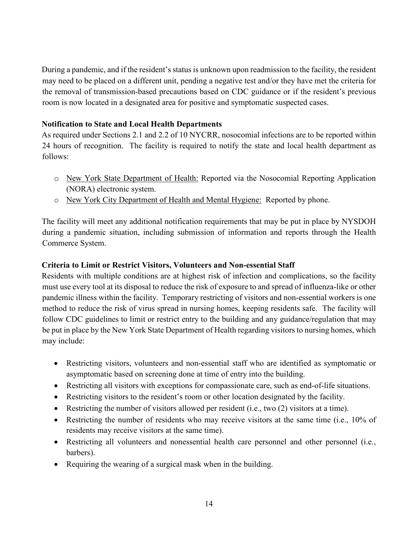During a pandemic, and if the resident's status is unknown upon readmission to the facility, the resident may need to be placed on a different unit, pending a negative test and/or they have met the criteria for the removal of transmission-based precautions based on CDC guidance or if the resident's previous room is now located in a designated area for positive and symptomatic suspected cases.

### **Notification to State and Local Health Departments**

As required under Sections 2.1 and 2.2 of 10 NYCRR, nosocomial infections are to be reported within 24 hours of recognition. The facility is required to notify the state and local health department as follows:

- o New York State Department of Health: Reported via the Nosocomial Reporting Application (NORA) electronic system.
- o New York City Department of Health and Mental Hygiene: Reported by phone.

The facility will meet any additional notification requirements that may be put in place by NYSDOH during a pandemic situation, including submission of information and reports through the Health Commerce System.

## **Criteria to Limit or Restrict Visitors, Volunteers and Non-essential Staff**

Residents with multiple conditions are at highest risk of infection and complications, so the facility must use every tool at its disposal to reduce the risk of exposure to and spread of influenza-like or other pandemic illness within the facility. Temporary restricting of visitors and non-essential workers is one method to reduce the risk of virus spread in nursing homes, keeping residents safe. The facility will follow CDC guidelines to limit or restrict entry to the building and any guidance/regulation that may be put in place by the New York State Department of Health regarding visitors to nursing homes, which may include:

- Restricting visitors, volunteers and non-essential staff who are identified as symptomatic or asymptomatic based on screening done at time of entry into the building.
- Restricting all visitors with exceptions for compassionate care, such as end-of-life situations.
- Restricting visitors to the resident's room or other location designated by the facility.
- Restricting the number of visitors allowed per resident (i.e., two (2) visitors at a time).
- Restricting the number of residents who may receive visitors at the same time (i.e., 10% of residents may receive visitors at the same time).
- Restricting all volunteers and nonessential health care personnel and other personnel (i.e., barbers).
- Requiring the wearing of a surgical mask when in the building.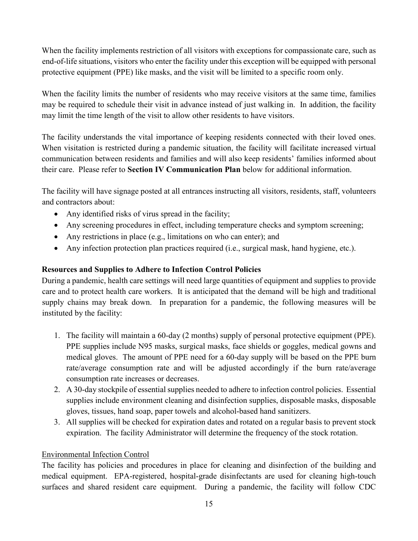When the facility implements restriction of all visitors with exceptions for compassionate care, such as end-of-life situations, visitors who enter the facility under this exception will be equipped with personal protective equipment (PPE) like masks, and the visit will be limited to a specific room only.

When the facility limits the number of residents who may receive visitors at the same time, families may be required to schedule their visit in advance instead of just walking in. In addition, the facility may limit the time length of the visit to allow other residents to have visitors.

The facility understands the vital importance of keeping residents connected with their loved ones. When visitation is restricted during a pandemic situation, the facility will facilitate increased virtual communication between residents and families and will also keep residents' families informed about their care. Please refer to **Section IV Communication Plan** below for additional information.

The facility will have signage posted at all entrances instructing all visitors, residents, staff, volunteers and contractors about:

- Any identified risks of virus spread in the facility;
- Any screening procedures in effect, including temperature checks and symptom screening;
- Any restrictions in place (e.g., limitations on who can enter); and
- Any infection protection plan practices required (i.e., surgical mask, hand hygiene, etc.).

## **Resources and Supplies to Adhere to Infection Control Policies**

During a pandemic, health care settings will need large quantities of equipment and supplies to provide care and to protect health care workers. It is anticipated that the demand will be high and traditional supply chains may break down. In preparation for a pandemic, the following measures will be instituted by the facility:

- 1. The facility will maintain a 60-day (2 months) supply of personal protective equipment (PPE). PPE supplies include N95 masks, surgical masks, face shields or goggles, medical gowns and medical gloves. The amount of PPE need for a 60-day supply will be based on the PPE burn rate/average consumption rate and will be adjusted accordingly if the burn rate/average consumption rate increases or decreases.
- 2. A 30-day stockpile of essential supplies needed to adhere to infection control policies. Essential supplies include environment cleaning and disinfection supplies, disposable masks, disposable gloves, tissues, hand soap, paper towels and alcohol-based hand sanitizers.
- 3. All supplies will be checked for expiration dates and rotated on a regular basis to prevent stock expiration. The facility Administrator will determine the frequency of the stock rotation.

## Environmental Infection Control

The facility has policies and procedures in place for cleaning and disinfection of the building and medical equipment. EPA-registered, hospital-grade disinfectants are used for cleaning high-touch surfaces and shared resident care equipment. During a pandemic, the facility will follow CDC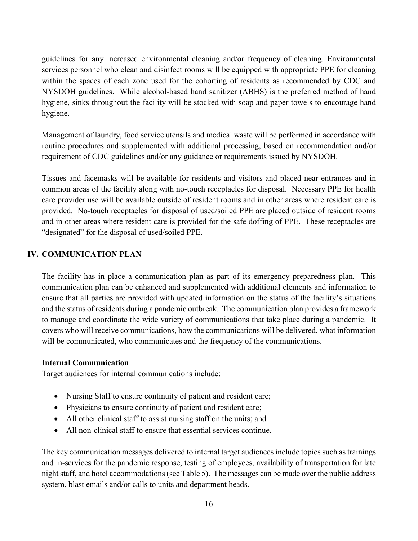guidelines for any increased environmental cleaning and/or frequency of cleaning. Environmental services personnel who clean and disinfect rooms will be equipped with appropriate PPE for cleaning within the spaces of each zone used for the cohorting of residents as recommended by CDC and NYSDOH guidelines. While alcohol-based hand sanitizer (ABHS) is the preferred method of hand hygiene, sinks throughout the facility will be stocked with soap and paper towels to encourage hand hygiene.

Management of laundry, food service utensils and medical waste will be performed in accordance with routine procedures and supplemented with additional processing, based on recommendation and/or requirement of CDC guidelines and/or any guidance or requirements issued by NYSDOH.

Tissues and facemasks will be available for residents and visitors and placed near entrances and in common areas of the facility along with no-touch receptacles for disposal. Necessary PPE for health care provider use will be available outside of resident rooms and in other areas where resident care is provided. No-touch receptacles for disposal of used/soiled PPE are placed outside of resident rooms and in other areas where resident care is provided for the safe doffing of PPE. These receptacles are "designated" for the disposal of used/soiled PPE.

#### **IV. COMMUNICATION PLAN**

The facility has in place a communication plan as part of its emergency preparedness plan. This communication plan can be enhanced and supplemented with additional elements and information to ensure that all parties are provided with updated information on the status of the facility's situations and the status of residents during a pandemic outbreak. The communication plan provides a framework to manage and coordinate the wide variety of communications that take place during a pandemic. It covers who will receive communications, how the communications will be delivered, what information will be communicated, who communicates and the frequency of the communications.

#### **Internal Communication**

Target audiences for internal communications include:

- Nursing Staff to ensure continuity of patient and resident care;
- Physicians to ensure continuity of patient and resident care;
- All other clinical staff to assist nursing staff on the units; and
- All non-clinical staff to ensure that essential services continue.

The key communication messages delivered to internal target audiences include topics such as trainings and in-services for the pandemic response, testing of employees, availability of transportation for late night staff, and hotel accommodations (see Table 5). The messages can be made over the public address system, blast emails and/or calls to units and department heads.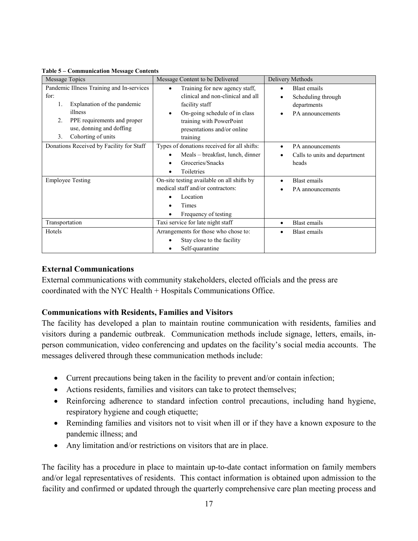| Message Topics                            | Message Content to be Delivered             | Delivery Methods              |
|-------------------------------------------|---------------------------------------------|-------------------------------|
| Pandemic Illness Training and In-services | Training for new agency staff,              | <b>Blast</b> emails           |
| for:                                      | clinical and non-clinical and all           | Scheduling through            |
| Explanation of the pandemic<br>1.         | facility staff                              | departments                   |
| illness                                   | On-going schedule of in class<br>$\bullet$  | PA announcements              |
| PPE requirements and proper<br>2.         | training with PowerPoint                    |                               |
| use, donning and doffing                  | presentations and/or online                 |                               |
| Cohorting of units<br>3.                  | training                                    |                               |
| Donations Received by Facility for Staff  | Types of donations received for all shifts: | PA announcements              |
|                                           | Meals – breakfast, lunch, dinner            | Calls to units and department |
|                                           | Groceries/Snacks<br>٠                       | heads                         |
|                                           | Toiletries<br>$\bullet$                     |                               |
| <b>Employee Testing</b>                   | On-site testing available on all shifts by  | <b>Blast</b> emails           |
|                                           | medical staff and/or contractors:           | PA announcements              |
|                                           | Location                                    |                               |
|                                           | Times                                       |                               |
|                                           | Frequency of testing                        |                               |
| Transportation                            | Taxi service for late night staff           | Blast emails                  |
| Hotels                                    | Arrangements for those who chose to:        | Blast emails                  |
|                                           | Stay close to the facility                  |                               |
|                                           | Self-quarantine                             |                               |

**Table 5 – Communication Message Contents**

#### **External Communications**

External communications with community stakeholders, elected officials and the press are coordinated with the NYC Health + Hospitals Communications Office.

#### **Communications with Residents, Families and Visitors**

The facility has developed a plan to maintain routine communication with residents, families and visitors during a pandemic outbreak. Communication methods include signage, letters, emails, inperson communication, video conferencing and updates on the facility's social media accounts. The messages delivered through these communication methods include:

- Current precautions being taken in the facility to prevent and/or contain infection;
- Actions residents, families and visitors can take to protect themselves;
- Reinforcing adherence to standard infection control precautions, including hand hygiene, respiratory hygiene and cough etiquette;
- Reminding families and visitors not to visit when ill or if they have a known exposure to the pandemic illness; and
- Any limitation and/or restrictions on visitors that are in place.

The facility has a procedure in place to maintain up-to-date contact information on family members and/or legal representatives of residents. This contact information is obtained upon admission to the facility and confirmed or updated through the quarterly comprehensive care plan meeting process and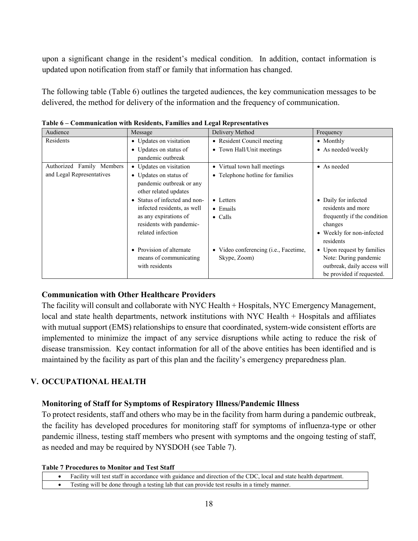upon a significant change in the resident's medical condition. In addition, contact information is updated upon notification from staff or family that information has changed.

The following table (Table 6) outlines the targeted audiences, the key communication messages to be delivered, the method for delivery of the information and the frequency of communication.

| Audience                  | Message                       | Delivery Method                       | Frequency                   |
|---------------------------|-------------------------------|---------------------------------------|-----------------------------|
| Residents                 | • Updates on visitation       | • Resident Council meeting            | • Monthly                   |
|                           | • Updates on status of        | • Town Hall/Unit meetings             | • As needed/weekly          |
|                           | pandemic outbreak             |                                       |                             |
| Authorized Family Members | • Updates on visitation       | • Virtual town hall meetings          | • As needed                 |
| and Legal Representatives | • Updates on status of        | • Telephone hotline for families      |                             |
|                           | pandemic outbreak or any      |                                       |                             |
|                           | other related updates         |                                       |                             |
|                           | • Status of infected and non- | • Letters                             | • Daily for infected        |
|                           | infected residents, as well   | $\bullet$ Emails                      | residents and more          |
|                           | as any expirations of         | $\bullet$ Calls                       | frequently if the condition |
|                           | residents with pandemic-      |                                       | changes                     |
|                           | related infection             |                                       | • Weekly for non-infected   |
|                           |                               |                                       | residents                   |
|                           | • Provision of alternate      | • Video conferencing (i.e., Facetime, | • Upon request by families  |
|                           | means of communicating        | Skype, Zoom)                          | Note: During pandemic       |
|                           | with residents                |                                       | outbreak, daily access will |
|                           |                               |                                       | be provided if requested.   |

**Table 6 – Communication with Residents, Families and Legal Representatives**

## **Communication with Other Healthcare Providers**

The facility will consult and collaborate with NYC Health + Hospitals, NYC Emergency Management, local and state health departments, network institutions with NYC Health + Hospitals and affiliates with mutual support (EMS) relationships to ensure that coordinated, system-wide consistent efforts are implemented to minimize the impact of any service disruptions while acting to reduce the risk of disease transmission. Key contact information for all of the above entities has been identified and is maintained by the facility as part of this plan and the facility's emergency preparedness plan.

## **V. OCCUPATIONAL HEALTH**

#### **Monitoring of Staff for Symptoms of Respiratory Illness/Pandemic Illness**

To protect residents, staff and others who may be in the facility from harm during a pandemic outbreak, the facility has developed procedures for monitoring staff for symptoms of influenza-type or other pandemic illness, testing staff members who present with symptoms and the ongoing testing of staff, as needed and may be required by NYSDOH (see Table 7).

#### **Table 7 Procedures to Monitor and Test Staff**

- Facility will test staff in accordance with guidance and direction of the CDC, local and state health department.
- Testing will be done through a testing lab that can provide test results in a timely manner.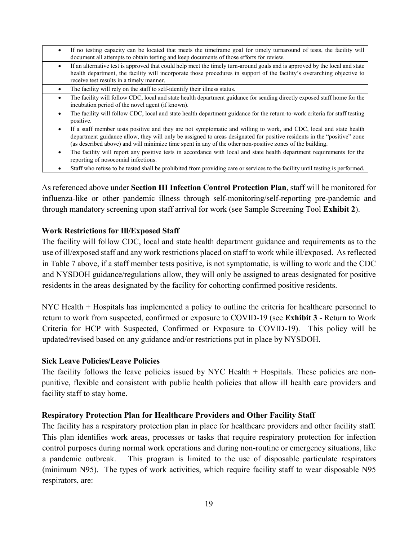- If no testing capacity can be located that meets the timeframe goal for timely turnaround of tests, the facility will document all attempts to obtain testing and keep documents of those efforts for review.
- If an alternative test is approved that could help meet the timely turn-around goals and is approved by the local and state health department, the facility will incorporate those procedures in support of the facility's overarching objective to receive test results in a timely manner.
- The facility will rely on the staff to self-identify their illness status.
- The facility will follow CDC, local and state health department guidance for sending directly exposed staff home for the incubation period of the novel agent (if known).
- The facility will follow CDC, local and state health department guidance for the return-to-work criteria for staff testing positive.
- If a staff member tests positive and they are not symptomatic and willing to work, and CDC, local and state health department guidance allow, they will only be assigned to areas designated for positive residents in the "positive" zone (as described above) and will minimize time spent in any of the other non-positive zones of the building.
- The facility will report any positive tests in accordance with local and state health department requirements for the reporting of nosocomial infections.
- Staff who refuse to be tested shall be prohibited from providing care or services to the facility until testing is performed.

As referenced above under **Section III Infection Control Protection Plan**, staff will be monitored for influenza-like or other pandemic illness through self-monitoring/self-reporting pre-pandemic and through mandatory screening upon staff arrival for work (see Sample Screening Tool **Exhibit 2**).

#### **Work Restrictions for Ill/Exposed Staff**

The facility will follow CDC, local and state health department guidance and requirements as to the use of ill/exposed staff and any work restrictions placed on staff to work while ill/exposed. As reflected in Table 7 above, if a staff member tests positive, is not symptomatic, is willing to work and the CDC and NYSDOH guidance/regulations allow, they will only be assigned to areas designated for positive residents in the areas designated by the facility for cohorting confirmed positive residents.

NYC Health + Hospitals has implemented a policy to outline the criteria for healthcare personnel to return to work from suspected, confirmed or exposure to COVID-19 (see **Exhibit 3** - Return to Work Criteria for HCP with Suspected, Confirmed or Exposure to COVID-19). This policy will be updated/revised based on any guidance and/or restrictions put in place by NYSDOH.

#### **Sick Leave Policies/Leave Policies**

The facility follows the leave policies issued by NYC Health + Hospitals. These policies are nonpunitive, flexible and consistent with public health policies that allow ill health care providers and facility staff to stay home.

#### **Respiratory Protection Plan for Healthcare Providers and Other Facility Staff**

The facility has a respiratory protection plan in place for healthcare providers and other facility staff. This plan identifies work areas, processes or tasks that require respiratory protection for infection control purposes during normal work operations and during non-routine or emergency situations, like a pandemic outbreak. This program is limited to the use of disposable particulate respirators (minimum N95). The types of work activities, which require facility staff to wear disposable N95 respirators, are: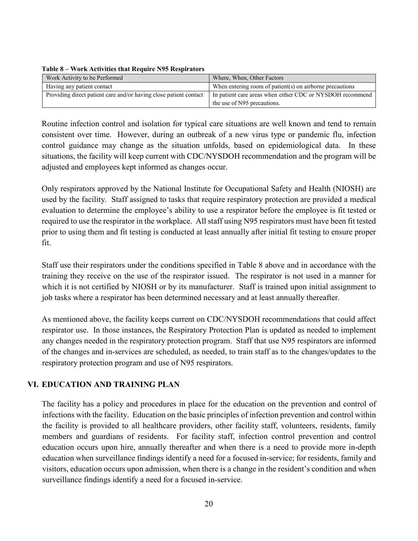| Work Activity to be Performed                                     | Where, When, Other Factors                                |
|-------------------------------------------------------------------|-----------------------------------------------------------|
| Having any patient contact                                        | When entering room of patient(s) on airborne precautions  |
| Providing direct patient care and/or having close patient contact | In patient care areas when either CDC or NYSDOH recommend |
|                                                                   | the use of N95 precautions.                               |

#### **Table 8 – Work Activities that Require N95 Respirators**

Routine infection control and isolation for typical care situations are well known and tend to remain consistent over time. However, during an outbreak of a new virus type or pandemic flu, infection control guidance may change as the situation unfolds, based on epidemiological data. In these situations, the facility will keep current with CDC/NYSDOH recommendation and the program will be adjusted and employees kept informed as changes occur.

Only respirators approved by the National Institute for Occupational Safety and Health (NIOSH) are used by the facility. Staff assigned to tasks that require respiratory protection are provided a medical evaluation to determine the employee's ability to use a respirator before the employee is fit tested or required to use the respirator in the workplace. All staff using N95 respirators must have been fit tested prior to using them and fit testing is conducted at least annually after initial fit testing to ensure proper fit.

Staff use their respirators under the conditions specified in Table 8 above and in accordance with the training they receive on the use of the respirator issued. The respirator is not used in a manner for which it is not certified by NIOSH or by its manufacturer. Staff is trained upon initial assignment to job tasks where a respirator has been determined necessary and at least annually thereafter.

As mentioned above, the facility keeps current on CDC/NYSDOH recommendations that could affect respirator use. In those instances, the Respiratory Protection Plan is updated as needed to implement any changes needed in the respiratory protection program. Staff that use N95 respirators are informed of the changes and in-services are scheduled, as needed, to train staff as to the changes/updates to the respiratory protection program and use of N95 respirators.

#### **VI. EDUCATION AND TRAINING PLAN**

The facility has a policy and procedures in place for the education on the prevention and control of infections with the facility. Education on the basic principles of infection prevention and control within the facility is provided to all healthcare providers, other facility staff, volunteers, residents, family members and guardians of residents. For facility staff, infection control prevention and control education occurs upon hire, annually thereafter and when there is a need to provide more in-depth education when surveillance findings identify a need for a focused in-service; for residents, family and visitors, education occurs upon admission, when there is a change in the resident's condition and when surveillance findings identify a need for a focused in-service.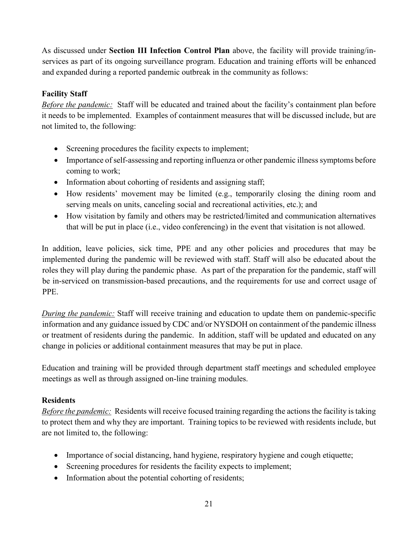As discussed under **Section III Infection Control Plan** above, the facility will provide training/inservices as part of its ongoing surveillance program. Education and training efforts will be enhanced and expanded during a reported pandemic outbreak in the community as follows:

## **Facility Staff**

*Before the pandemic:* Staff will be educated and trained about the facility's containment plan before it needs to be implemented. Examples of containment measures that will be discussed include, but are not limited to, the following:

- Screening procedures the facility expects to implement;
- Importance of self-assessing and reporting influenza or other pandemic illness symptoms before coming to work;
- Information about cohorting of residents and assigning staff;
- How residents' movement may be limited (e.g., temporarily closing the dining room and serving meals on units, canceling social and recreational activities, etc.); and
- How visitation by family and others may be restricted/limited and communication alternatives that will be put in place (i.e., video conferencing) in the event that visitation is not allowed.

In addition, leave policies, sick time, PPE and any other policies and procedures that may be implemented during the pandemic will be reviewed with staff. Staff will also be educated about the roles they will play during the pandemic phase. As part of the preparation for the pandemic, staff will be in-serviced on transmission-based precautions, and the requirements for use and correct usage of PPE.

*During the pandemic:* Staff will receive training and education to update them on pandemic-specific information and any guidance issued by CDC and/or NYSDOH on containment of the pandemic illness or treatment of residents during the pandemic. In addition, staff will be updated and educated on any change in policies or additional containment measures that may be put in place.

Education and training will be provided through department staff meetings and scheduled employee meetings as well as through assigned on-line training modules.

## **Residents**

*Before the pandemic:* Residents will receive focused training regarding the actions the facility is taking to protect them and why they are important. Training topics to be reviewed with residents include, but are not limited to, the following:

- Importance of social distancing, hand hygiene, respiratory hygiene and cough etiquette;
- Screening procedures for residents the facility expects to implement;
- Information about the potential cohorting of residents;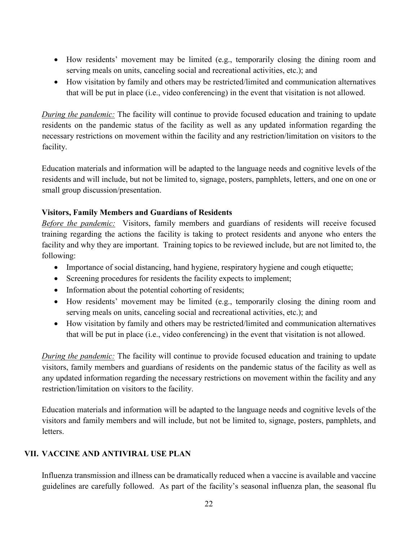- How residents' movement may be limited (e.g., temporarily closing the dining room and serving meals on units, canceling social and recreational activities, etc.); and
- How visitation by family and others may be restricted/limited and communication alternatives that will be put in place (i.e., video conferencing) in the event that visitation is not allowed.

*During the pandemic:* The facility will continue to provide focused education and training to update residents on the pandemic status of the facility as well as any updated information regarding the necessary restrictions on movement within the facility and any restriction/limitation on visitors to the facility.

Education materials and information will be adapted to the language needs and cognitive levels of the residents and will include, but not be limited to, signage, posters, pamphlets, letters, and one on one or small group discussion/presentation.

### **Visitors, Family Members and Guardians of Residents**

*Before the pandemic:* Visitors, family members and guardians of residents will receive focused training regarding the actions the facility is taking to protect residents and anyone who enters the facility and why they are important. Training topics to be reviewed include, but are not limited to, the following:

- Importance of social distancing, hand hygiene, respiratory hygiene and cough etiquette;
- Screening procedures for residents the facility expects to implement;
- Information about the potential cohorting of residents;
- How residents' movement may be limited (e.g., temporarily closing the dining room and serving meals on units, canceling social and recreational activities, etc.); and
- How visitation by family and others may be restricted/limited and communication alternatives that will be put in place (i.e., video conferencing) in the event that visitation is not allowed.

*During the pandemic:* The facility will continue to provide focused education and training to update visitors, family members and guardians of residents on the pandemic status of the facility as well as any updated information regarding the necessary restrictions on movement within the facility and any restriction/limitation on visitors to the facility.

Education materials and information will be adapted to the language needs and cognitive levels of the visitors and family members and will include, but not be limited to, signage, posters, pamphlets, and letters.

## **VII. VACCINE AND ANTIVIRAL USE PLAN**

Influenza transmission and illness can be dramatically reduced when a vaccine is available and vaccine guidelines are carefully followed. As part of the facility's seasonal influenza plan, the seasonal flu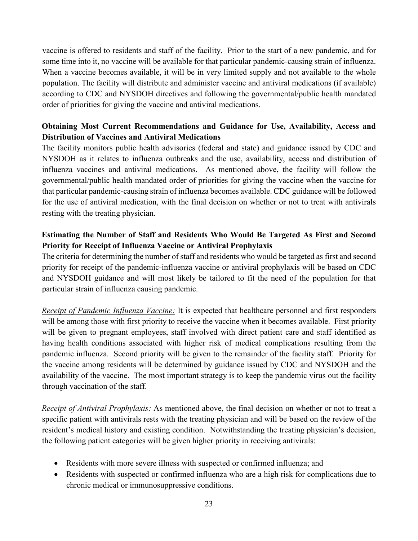vaccine is offered to residents and staff of the facility. Prior to the start of a new pandemic, and for some time into it, no vaccine will be available for that particular pandemic-causing strain of influenza. When a vaccine becomes available, it will be in very limited supply and not available to the whole population. The facility will distribute and administer vaccine and antiviral medications (if available) according to CDC and NYSDOH directives and following the governmental/public health mandated order of priorities for giving the vaccine and antiviral medications.

## **Obtaining Most Current Recommendations and Guidance for Use, Availability, Access and Distribution of Vaccines and Antiviral Medications**

The facility monitors public health advisories (federal and state) and guidance issued by CDC and NYSDOH as it relates to influenza outbreaks and the use, availability, access and distribution of influenza vaccines and antiviral medications. As mentioned above, the facility will follow the governmental/public health mandated order of priorities for giving the vaccine when the vaccine for that particular pandemic-causing strain of influenza becomes available. CDC guidance will be followed for the use of antiviral medication, with the final decision on whether or not to treat with antivirals resting with the treating physician.

## **Estimating the Number of Staff and Residents Who Would Be Targeted As First and Second Priority for Receipt of Influenza Vaccine or Antiviral Prophylaxis**

The criteria for determining the number of staff and residents who would be targeted as first and second priority for receipt of the pandemic-influenza vaccine or antiviral prophylaxis will be based on CDC and NYSDOH guidance and will most likely be tailored to fit the need of the population for that particular strain of influenza causing pandemic.

*Receipt of Pandemic Influenza Vaccine:* It is expected that healthcare personnel and first responders will be among those with first priority to receive the vaccine when it becomes available. First priority will be given to pregnant employees, staff involved with direct patient care and staff identified as having health conditions associated with higher risk of medical complications resulting from the pandemic influenza. Second priority will be given to the remainder of the facility staff. Priority for the vaccine among residents will be determined by guidance issued by CDC and NYSDOH and the availability of the vaccine. The most important strategy is to keep the pandemic virus out the facility through vaccination of the staff.

*Receipt of Antiviral Prophylaxis:* As mentioned above, the final decision on whether or not to treat a specific patient with antivirals rests with the treating physician and will be based on the review of the resident's medical history and existing condition. Notwithstanding the treating physician's decision, the following patient categories will be given higher priority in receiving antivirals:

- Residents with more severe illness with suspected or confirmed influenza; and
- Residents with suspected or confirmed influenza who are a high risk for complications due to chronic medical or immunosuppressive conditions.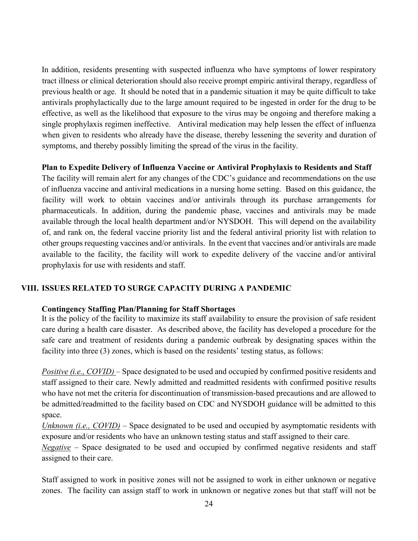In addition, residents presenting with suspected influenza who have symptoms of lower respiratory tract illness or clinical deterioration should also receive prompt empiric antiviral therapy, regardless of previous health or age. It should be noted that in a pandemic situation it may be quite difficult to take antivirals prophylactically due to the large amount required to be ingested in order for the drug to be effective, as well as the likelihood that exposure to the virus may be ongoing and therefore making a single prophylaxis regimen ineffective. Antiviral medication may help lessen the effect of influenza when given to residents who already have the disease, thereby lessening the severity and duration of symptoms, and thereby possibly limiting the spread of the virus in the facility.

#### **Plan to Expedite Delivery of Influenza Vaccine or Antiviral Prophylaxis to Residents and Staff**

The facility will remain alert for any changes of the CDC's guidance and recommendations on the use of influenza vaccine and antiviral medications in a nursing home setting. Based on this guidance, the facility will work to obtain vaccines and/or antivirals through its purchase arrangements for pharmaceuticals. In addition, during the pandemic phase, vaccines and antivirals may be made available through the local health department and/or NYSDOH. This will depend on the availability of, and rank on, the federal vaccine priority list and the federal antiviral priority list with relation to other groups requesting vaccines and/or antivirals. In the event that vaccines and/or antivirals are made available to the facility, the facility will work to expedite delivery of the vaccine and/or antiviral prophylaxis for use with residents and staff.

#### **VIII. ISSUES RELATED TO SURGE CAPACITY DURING A PANDEMIC**

#### **Contingency Staffing Plan/Planning for Staff Shortages**

It is the policy of the facility to maximize its staff availability to ensure the provision of safe resident care during a health care disaster. As described above, the facility has developed a procedure for the safe care and treatment of residents during a pandemic outbreak by designating spaces within the facility into three (3) zones, which is based on the residents' testing status, as follows:

*Positive (i.e., COVID)* – Space designated to be used and occupied by confirmed positive residents and staff assigned to their care. Newly admitted and readmitted residents with confirmed positive results who have not met the criteria for discontinuation of transmission-based precautions and are allowed to be admitted/readmitted to the facility based on CDC and NYSDOH guidance will be admitted to this space.

*Unknown (i.e., COVID)* – Space designated to be used and occupied by asymptomatic residents with exposure and/or residents who have an unknown testing status and staff assigned to their care.

*Negative* – Space designated to be used and occupied by confirmed negative residents and staff assigned to their care.

Staff assigned to work in positive zones will not be assigned to work in either unknown or negative zones. The facility can assign staff to work in unknown or negative zones but that staff will not be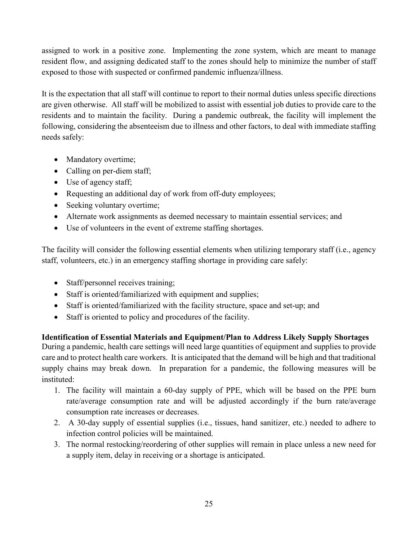assigned to work in a positive zone. Implementing the zone system, which are meant to manage resident flow, and assigning dedicated staff to the zones should help to minimize the number of staff exposed to those with suspected or confirmed pandemic influenza/illness.

It is the expectation that all staff will continue to report to their normal duties unless specific directions are given otherwise. All staff will be mobilized to assist with essential job duties to provide care to the residents and to maintain the facility. During a pandemic outbreak, the facility will implement the following, considering the absenteeism due to illness and other factors, to deal with immediate staffing needs safely:

- Mandatory overtime;
- Calling on per-diem staff;
- Use of agency staff;
- Requesting an additional day of work from off-duty employees;
- Seeking voluntary overtime;
- Alternate work assignments as deemed necessary to maintain essential services; and
- Use of volunteers in the event of extreme staffing shortages.

The facility will consider the following essential elements when utilizing temporary staff (i.e., agency staff, volunteers, etc.) in an emergency staffing shortage in providing care safely:

- Staff/personnel receives training;
- Staff is oriented/familiarized with equipment and supplies;
- Staff is oriented/familiarized with the facility structure, space and set-up; and
- Staff is oriented to policy and procedures of the facility.

**Identification of Essential Materials and Equipment/Plan to Address Likely Supply Shortages** During a pandemic, health care settings will need large quantities of equipment and supplies to provide care and to protect health care workers. It is anticipated that the demand will be high and that traditional supply chains may break down. In preparation for a pandemic, the following measures will be instituted:

- 1. The facility will maintain a 60-day supply of PPE, which will be based on the PPE burn rate/average consumption rate and will be adjusted accordingly if the burn rate/average consumption rate increases or decreases.
- 2. A 30-day supply of essential supplies (i.e., tissues, hand sanitizer, etc.) needed to adhere to infection control policies will be maintained.
- 3. The normal restocking/reordering of other supplies will remain in place unless a new need for a supply item, delay in receiving or a shortage is anticipated.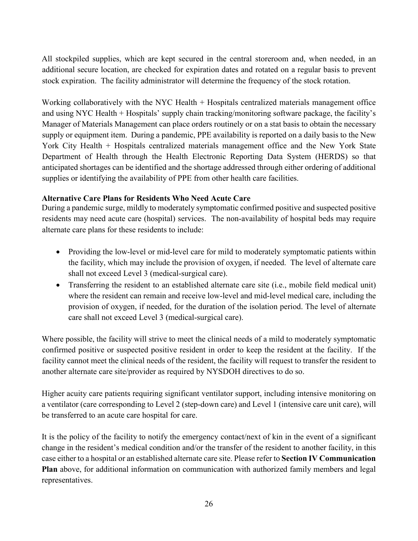All stockpiled supplies, which are kept secured in the central storeroom and, when needed, in an additional secure location, are checked for expiration dates and rotated on a regular basis to prevent stock expiration. The facility administrator will determine the frequency of the stock rotation.

Working collaboratively with the NYC Health + Hospitals centralized materials management office and using NYC Health + Hospitals' supply chain tracking/monitoring software package, the facility's Manager of Materials Management can place orders routinely or on a stat basis to obtain the necessary supply or equipment item. During a pandemic, PPE availability is reported on a daily basis to the New York City Health + Hospitals centralized materials management office and the New York State Department of Health through the Health Electronic Reporting Data System (HERDS) so that anticipated shortages can be identified and the shortage addressed through either ordering of additional supplies or identifying the availability of PPE from other health care facilities.

#### **Alternative Care Plans for Residents Who Need Acute Care**

During a pandemic surge, mildly to moderately symptomatic confirmed positive and suspected positive residents may need acute care (hospital) services. The non-availability of hospital beds may require alternate care plans for these residents to include:

- Providing the low-level or mid-level care for mild to moderately symptomatic patients within the facility, which may include the provision of oxygen, if needed. The level of alternate care shall not exceed Level 3 (medical-surgical care).
- Transferring the resident to an established alternate care site (i.e., mobile field medical unit) where the resident can remain and receive low-level and mid-level medical care, including the provision of oxygen, if needed, for the duration of the isolation period. The level of alternate care shall not exceed Level 3 (medical-surgical care).

Where possible, the facility will strive to meet the clinical needs of a mild to moderately symptomatic confirmed positive or suspected positive resident in order to keep the resident at the facility. If the facility cannot meet the clinical needs of the resident, the facility will request to transfer the resident to another alternate care site/provider as required by NYSDOH directives to do so.

Higher acuity care patients requiring significant ventilator support, including intensive monitoring on a ventilator (care corresponding to Level 2 (step-down care) and Level 1 (intensive care unit care), will be transferred to an acute care hospital for care.

It is the policy of the facility to notify the emergency contact/next of kin in the event of a significant change in the resident's medical condition and/or the transfer of the resident to another facility, in this case either to a hospital or an established alternate care site. Please refer to **Section IV Communication Plan** above, for additional information on communication with authorized family members and legal representatives.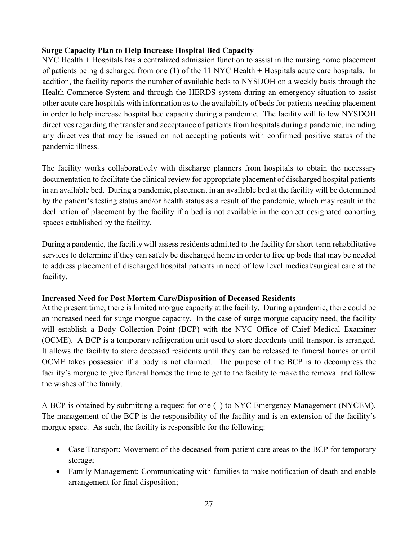### **Surge Capacity Plan to Help Increase Hospital Bed Capacity**

NYC Health + Hospitals has a centralized admission function to assist in the nursing home placement of patients being discharged from one (1) of the 11 NYC Health + Hospitals acute care hospitals. In addition, the facility reports the number of available beds to NYSDOH on a weekly basis through the Health Commerce System and through the HERDS system during an emergency situation to assist other acute care hospitals with information as to the availability of beds for patients needing placement in order to help increase hospital bed capacity during a pandemic. The facility will follow NYSDOH directives regarding the transfer and acceptance of patients from hospitals during a pandemic, including any directives that may be issued on not accepting patients with confirmed positive status of the pandemic illness.

The facility works collaboratively with discharge planners from hospitals to obtain the necessary documentation to facilitate the clinical review for appropriate placement of discharged hospital patients in an available bed. During a pandemic, placement in an available bed at the facility will be determined by the patient's testing status and/or health status as a result of the pandemic, which may result in the declination of placement by the facility if a bed is not available in the correct designated cohorting spaces established by the facility.

During a pandemic, the facility will assess residents admitted to the facility for short-term rehabilitative services to determine if they can safely be discharged home in order to free up beds that may be needed to address placement of discharged hospital patients in need of low level medical/surgical care at the facility.

#### **Increased Need for Post Mortem Care/Disposition of Deceased Residents**

At the present time, there is limited morgue capacity at the facility. During a pandemic, there could be an increased need for surge morgue capacity. In the case of surge morgue capacity need, the facility will establish a Body Collection Point (BCP) with the NYC Office of Chief Medical Examiner (OCME). A BCP is a temporary refrigeration unit used to store decedents until transport is arranged. It allows the facility to store deceased residents until they can be released to funeral homes or until OCME takes possession if a body is not claimed. The purpose of the BCP is to decompress the facility's morgue to give funeral homes the time to get to the facility to make the removal and follow the wishes of the family.

A BCP is obtained by submitting a request for one (1) to NYC Emergency Management (NYCEM). The management of the BCP is the responsibility of the facility and is an extension of the facility's morgue space. As such, the facility is responsible for the following:

- Case Transport: Movement of the deceased from patient care areas to the BCP for temporary storage;
- Family Management: Communicating with families to make notification of death and enable arrangement for final disposition;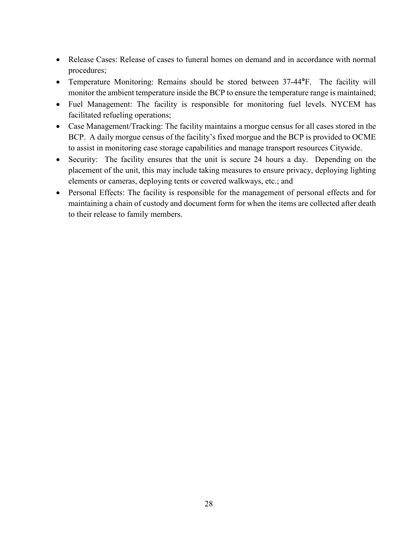- Release Cases: Release of cases to funeral homes on demand and in accordance with normal procedures;
- Temperature Monitoring: Remains should be stored between 37-44**°**F. The facility will monitor the ambient temperature inside the BCP to ensure the temperature range is maintained;
- Fuel Management: The facility is responsible for monitoring fuel levels. NYCEM has facilitated refueling operations;
- Case Management/Tracking: The facility maintains a morgue census for all cases stored in the BCP. A daily morgue census of the facility's fixed morgue and the BCP is provided to OCME to assist in monitoring case storage capabilities and manage transport resources Citywide.
- Security: The facility ensures that the unit is secure 24 hours a day. Depending on the placement of the unit, this may include taking measures to ensure privacy, deploying lighting elements or cameras, deploying tents or covered walkways, etc.; and
- Personal Effects: The facility is responsible for the management of personal effects and for maintaining a chain of custody and document form for when the items are collected after death to their release to family members.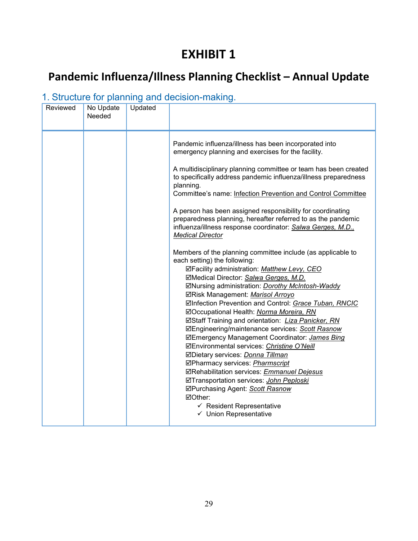# **EXHIBIT 1**

# **Pandemic Influenza/Illness Planning Checklist – Annual Update**

# 1. Structure for planning and decision-making.

| Reviewed | No Update<br>Needed | Updated |                                                                                                                                                                                                                                                                                                                                                                                                                                                                                                                                                                                                                                                                                                                                                                                                                                      |
|----------|---------------------|---------|--------------------------------------------------------------------------------------------------------------------------------------------------------------------------------------------------------------------------------------------------------------------------------------------------------------------------------------------------------------------------------------------------------------------------------------------------------------------------------------------------------------------------------------------------------------------------------------------------------------------------------------------------------------------------------------------------------------------------------------------------------------------------------------------------------------------------------------|
|          |                     |         | Pandemic influenza/illness has been incorporated into<br>emergency planning and exercises for the facility.<br>A multidisciplinary planning committee or team has been created<br>to specifically address pandemic influenza/illness preparedness<br>planning.<br>Committee's name: Infection Prevention and Control Committee<br>A person has been assigned responsibility for coordinating<br>preparedness planning, hereafter referred to as the pandemic<br>influenza/illness response coordinator: Salwa Gerges, M.D.,<br><b>Medical Director</b><br>Members of the planning committee include (as applicable to<br>each setting) the following:<br>☑Facility administration: Matthew Levy, CEO<br>⊠Medical Director: Salwa Gerges, M.D.<br>⊠Nursing administration: Dorothy McIntosh-Waddy<br>⊠Risk Management: Marisol Arroyo |
|          |                     |         | ⊠Infection Prevention and Control: Grace Tuban, RNCIC<br>⊠Occupational Health: Norma Moreira, RN<br><b>ØStaff Training and orientation:</b> <i>Liza Panicker, RN</i><br><b>ØEngineering/maintenance services: Scott Rasnow</b><br>⊠Emergency Management Coordinator: James Bing<br>⊠Environmental services: Christine O'Neill<br>⊠Dietary services: Donna Tillman<br>☑Pharmacy services: Pharmscript<br>⊠Rehabilitation services: Emmanuel Dejesus<br>☑Transportation services: John Peploski<br>⊠Purchasing Agent: Scott Rasnow<br>⊠Other:<br>$\checkmark$ Resident Representative<br>✓ Union Representative                                                                                                                                                                                                                        |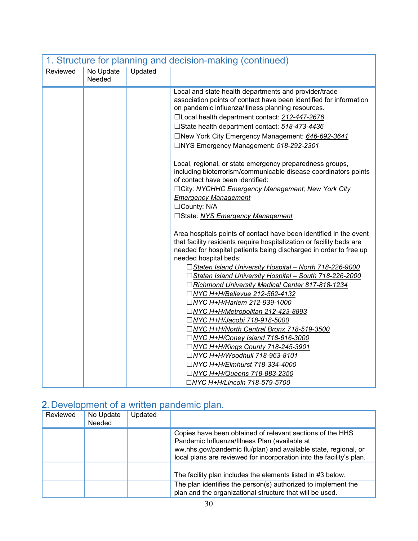| 1. Structure for planning and decision-making (continued) |                     |         |                                                                                                                                                                                                                                                                                                                                                                                                                                                                                                                                                                                                                                                                                                                                                                                                                                                                                                                                                                                                          |  |
|-----------------------------------------------------------|---------------------|---------|----------------------------------------------------------------------------------------------------------------------------------------------------------------------------------------------------------------------------------------------------------------------------------------------------------------------------------------------------------------------------------------------------------------------------------------------------------------------------------------------------------------------------------------------------------------------------------------------------------------------------------------------------------------------------------------------------------------------------------------------------------------------------------------------------------------------------------------------------------------------------------------------------------------------------------------------------------------------------------------------------------|--|
| Reviewed                                                  | No Update<br>Needed | Updated |                                                                                                                                                                                                                                                                                                                                                                                                                                                                                                                                                                                                                                                                                                                                                                                                                                                                                                                                                                                                          |  |
|                                                           |                     |         | Local and state health departments and provider/trade<br>association points of contact have been identified for information<br>on pandemic influenza/illness planning resources.<br>□Local health department contact: 212-447-2676<br>□State health department contact: 518-473-4436<br>□New York City Emergency Management: 646-692-3641<br>□NYS Emergency Management: 518-292-2301<br>Local, regional, or state emergency preparedness groups,<br>including bioterrorism/communicable disease coordinators points<br>of contact have been identified:<br>□ City: NYCHHC Emergency Management; New York City<br><b>Emergency Management</b><br>□County: N/A<br>□State: NYS Emergency Management<br>Area hospitals points of contact have been identified in the event<br>that facility residents require hospitalization or facility beds are<br>needed for hospital patients being discharged in order to free up<br>needed hospital beds:<br>□ Staten Island University Hospital - North 718-226-9000 |  |
|                                                           |                     |         | □ Staten Island University Hospital - South 718-226-2000<br>□Richmond University Medical Center 817-818-1234<br>□NYC H+H/Bellevue 212-562-4132<br>□NYC H+H/Harlem 212-939-1000<br>□NYC H+H/Metropolitan 212-423-8893                                                                                                                                                                                                                                                                                                                                                                                                                                                                                                                                                                                                                                                                                                                                                                                     |  |
|                                                           |                     |         | □NYC H+H/Jacobi 718-918-5000<br>□NYC H+H/North Central Bronx 718-519-3500<br>□NYC H+H/Coney Island 718-616-3000<br>□NYC H+H/Kings County 718-245-3901<br>□NYC H+H/Woodhull 718-963-8101<br>□NYC H+H/Elmhurst 718-334-4000<br>□NYC H+H/Queens 718-883-2350<br>□NYC H+H/Lincoln 718-579-5700                                                                                                                                                                                                                                                                                                                                                                                                                                                                                                                                                                                                                                                                                                               |  |

# 2. Development of a written pandemic plan.

| Reviewed | No Update<br>Needed | Updated |                                                                                                                                                                                                                                                       |
|----------|---------------------|---------|-------------------------------------------------------------------------------------------------------------------------------------------------------------------------------------------------------------------------------------------------------|
|          |                     |         | Copies have been obtained of relevant sections of the HHS<br>Pandemic Influenza/Illness Plan (available at<br>ww.hhs.gov/pandemic flu/plan) and available state, regional, or<br>local plans are reviewed for incorporation into the facility's plan. |
|          |                     |         | The facility plan includes the elements listed in #3 below.<br>The plan identifies the person(s) authorized to implement the<br>plan and the organizational structure that will be used.                                                              |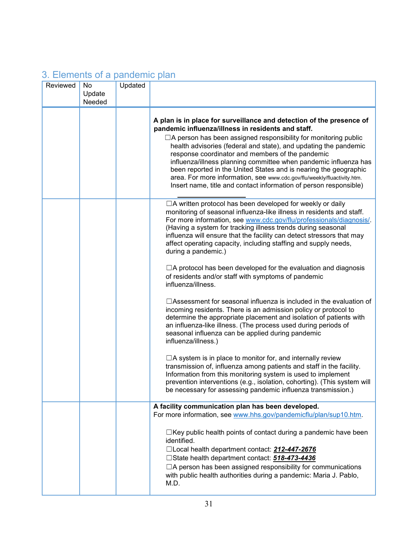# 3. Elements of a pandemic plan

| Reviewed | No     | Updated |                                                                                                                                                                                                                                                                                                                                                                                                                                                                                                                                                                                                                      |
|----------|--------|---------|----------------------------------------------------------------------------------------------------------------------------------------------------------------------------------------------------------------------------------------------------------------------------------------------------------------------------------------------------------------------------------------------------------------------------------------------------------------------------------------------------------------------------------------------------------------------------------------------------------------------|
|          | Update |         |                                                                                                                                                                                                                                                                                                                                                                                                                                                                                                                                                                                                                      |
|          | Needed |         |                                                                                                                                                                                                                                                                                                                                                                                                                                                                                                                                                                                                                      |
|          |        |         | A plan is in place for surveillance and detection of the presence of<br>pandemic influenza/illness in residents and staff.<br>$\Box$ A person has been assigned responsibility for monitoring public<br>health advisories (federal and state), and updating the pandemic<br>response coordinator and members of the pandemic<br>influenza/illness planning committee when pandemic influenza has<br>been reported in the United States and is nearing the geographic<br>area. For more information, see www.cdc.gov/flu/weekly/fluactivity.htm.<br>Insert name, title and contact information of person responsible) |
|          |        |         | □A written protocol has been developed for weekly or daily<br>monitoring of seasonal influenza-like illness in residents and staff.<br>For more information, see www.cdc.gov/flu/professionals/diagnosis/.<br>(Having a system for tracking illness trends during seasonal<br>influenza will ensure that the facility can detect stressors that may<br>affect operating capacity, including staffing and supply needs,<br>during a pandemic.)                                                                                                                                                                        |
|          |        |         | $\Box$ A protocol has been developed for the evaluation and diagnosis<br>of residents and/or staff with symptoms of pandemic<br>influenza/illness.                                                                                                                                                                                                                                                                                                                                                                                                                                                                   |
|          |        |         | $\Box$ Assessment for seasonal influenza is included in the evaluation of<br>incoming residents. There is an admission policy or protocol to<br>determine the appropriate placement and isolation of patients with<br>an influenza-like illness. (The process used during periods of<br>seasonal influenza can be applied during pandemic<br>influenza/illness.)                                                                                                                                                                                                                                                     |
|          |        |         | $\Box$ A system is in place to monitor for, and internally review<br>transmission of, influenza among patients and staff in the facility.<br>Information from this monitoring system is used to implement<br>prevention interventions (e.g., isolation, cohorting). (This system will<br>be necessary for assessing pandemic influenza transmission.)                                                                                                                                                                                                                                                                |
|          |        |         | A facility communication plan has been developed.<br>For more information, see www.hhs.gov/pandemicflu/plan/sup10.htm.                                                                                                                                                                                                                                                                                                                                                                                                                                                                                               |
|          |        |         | $\Box$ Key public health points of contact during a pandemic have been<br>identified.<br>□Local health department contact: 212-447-2676<br>□State health department contact: 518-473-4436<br>□A person has been assigned responsibility for communications<br>with public health authorities during a pandemic: Maria J. Pablo,<br>M.D.                                                                                                                                                                                                                                                                              |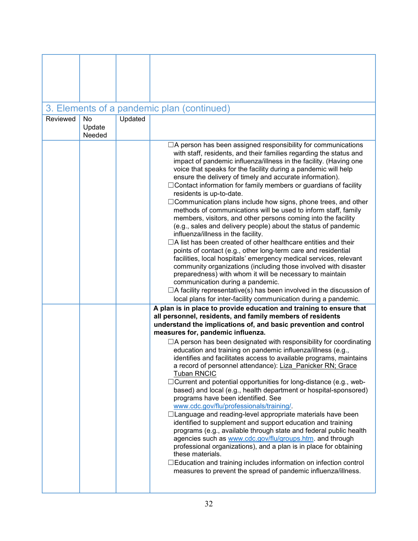|          |                  |         | 3. Elements of a pandemic plan (continued)                                                                                                                                                                                                                                                        |
|----------|------------------|---------|---------------------------------------------------------------------------------------------------------------------------------------------------------------------------------------------------------------------------------------------------------------------------------------------------|
| Reviewed | No               | Updated |                                                                                                                                                                                                                                                                                                   |
|          | Update<br>Needed |         |                                                                                                                                                                                                                                                                                                   |
|          |                  |         |                                                                                                                                                                                                                                                                                                   |
|          |                  |         | $\Box$ A person has been assigned responsibility for communications<br>with staff, residents, and their families regarding the status and<br>impact of pandemic influenza/illness in the facility. (Having one<br>voice that speaks for the facility during a pandemic will help                  |
|          |                  |         | ensure the delivery of timely and accurate information).<br>$\Box$ Contact information for family members or guardians of facility                                                                                                                                                                |
|          |                  |         | residents is up-to-date.                                                                                                                                                                                                                                                                          |
|          |                  |         | $\Box$ Communication plans include how signs, phone trees, and other                                                                                                                                                                                                                              |
|          |                  |         | methods of communications will be used to inform staff, family<br>members, visitors, and other persons coming into the facility                                                                                                                                                                   |
|          |                  |         | (e.g., sales and delivery people) about the status of pandemic<br>influenza/illness in the facility.                                                                                                                                                                                              |
|          |                  |         | $\Box$ A list has been created of other healthcare entities and their                                                                                                                                                                                                                             |
|          |                  |         | points of contact (e.g., other long-term care and residential                                                                                                                                                                                                                                     |
|          |                  |         | facilities, local hospitals' emergency medical services, relevant                                                                                                                                                                                                                                 |
|          |                  |         | community organizations (including those involved with disaster                                                                                                                                                                                                                                   |
|          |                  |         | preparedness) with whom it will be necessary to maintain<br>communication during a pandemic.                                                                                                                                                                                                      |
|          |                  |         | $\Box$ A facility representative(s) has been involved in the discussion of                                                                                                                                                                                                                        |
|          |                  |         | local plans for inter-facility communication during a pandemic.                                                                                                                                                                                                                                   |
|          |                  |         | A plan is in place to provide education and training to ensure that                                                                                                                                                                                                                               |
|          |                  |         | all personnel, residents, and family members of residents                                                                                                                                                                                                                                         |
|          |                  |         | understand the implications of, and basic prevention and control                                                                                                                                                                                                                                  |
|          |                  |         | measures for, pandemic influenza.                                                                                                                                                                                                                                                                 |
|          |                  |         | $\Box$ A person has been designated with responsibility for coordinating<br>education and training on pandemic influenza/illness (e.g.,<br>identifies and facilitates access to available programs, maintains<br>a record of personnel attendance): Liza Panicker RN; Grace<br><b>Tuban RNCIC</b> |
|          |                  |         | $\exists$ Current and potential opportunities for long-distance (e.g., web-<br>based) and local (e.g., health department or hospital-sponsored)                                                                                                                                                   |
|          |                  |         | programs have been identified. See                                                                                                                                                                                                                                                                |
|          |                  |         | www.cdc.gov/flu/professionals/training/<br>□Language and reading-level appropriate materials have been                                                                                                                                                                                            |
|          |                  |         | identified to supplement and support education and training<br>programs (e.g., available through state and federal public health<br>agencies such as www.cdc.gov/flu/groups.htm. and through<br>professional organizations), and a plan is in place for obtaining<br>these materials.             |
|          |                  |         | $\Box$ Education and training includes information on infection control<br>measures to prevent the spread of pandemic influenza/illness.                                                                                                                                                          |
|          |                  |         |                                                                                                                                                                                                                                                                                                   |

T

 $\Gamma$ 

ı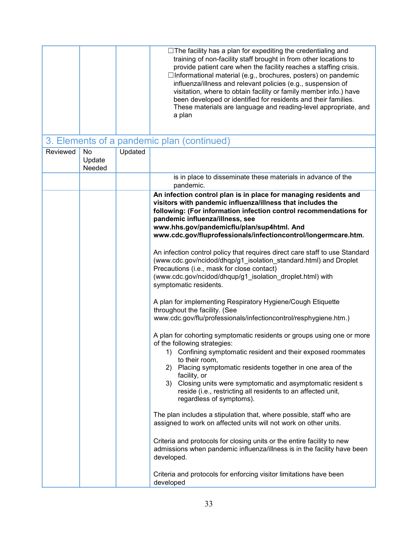|          |                               |         | $\Box$ The facility has a plan for expediting the credentialing and<br>training of non-facility staff brought in from other locations to<br>provide patient care when the facility reaches a staffing crisis.<br>□Informational material (e.g., brochures, posters) on pandemic<br>influenza/illness and relevant policies (e.g., suspension of<br>visitation, where to obtain facility or family member info.) have<br>been developed or identified for residents and their families.<br>These materials are language and reading-level appropriate, and<br>a plan |
|----------|-------------------------------|---------|---------------------------------------------------------------------------------------------------------------------------------------------------------------------------------------------------------------------------------------------------------------------------------------------------------------------------------------------------------------------------------------------------------------------------------------------------------------------------------------------------------------------------------------------------------------------|
|          |                               |         | 3. Elements of a pandemic plan (continued)                                                                                                                                                                                                                                                                                                                                                                                                                                                                                                                          |
| Reviewed | <b>No</b><br>Update<br>Needed | Updated |                                                                                                                                                                                                                                                                                                                                                                                                                                                                                                                                                                     |
|          |                               |         | is in place to disseminate these materials in advance of the<br>pandemic.                                                                                                                                                                                                                                                                                                                                                                                                                                                                                           |
|          |                               |         | An infection control plan is in place for managing residents and<br>visitors with pandemic influenza/illness that includes the<br>following: (For information infection control recommendations for<br>pandemic influenza/illness, see<br>www.hhs.gov/pandemicflu/plan/sup4html. And<br>www.cdc.gov/fluprofessionals/infectioncontrol/longermcare.htm.                                                                                                                                                                                                              |
|          |                               |         | An infection control policy that requires direct care staff to use Standard<br>(www.cdc.gov/ncidod/dhqp/g1_isolation_standard.html) and Droplet<br>Precautions (i.e., mask for close contact)<br>(www.cdc.gov/ncidod/dhqup/g1_isolation_droplet.html) with<br>symptomatic residents.                                                                                                                                                                                                                                                                                |
|          |                               |         | A plan for implementing Respiratory Hygiene/Cough Etiquette<br>throughout the facility. (See<br>www.cdc.gov/flu/professionals/infectioncontrol/resphygiene.htm.)                                                                                                                                                                                                                                                                                                                                                                                                    |
|          |                               |         | A plan for cohorting symptomatic residents or groups using one or more<br>of the following strategies:<br>1) Confining symptomatic resident and their exposed roommates<br>to their room,<br>Placing symptomatic residents together in one area of the<br>2)<br>facility, or<br>Closing units were symptomatic and asymptomatic resident s<br>3)<br>reside (i.e., restricting all residents to an affected unit,<br>regardless of symptoms).                                                                                                                        |
|          |                               |         | The plan includes a stipulation that, where possible, staff who are<br>assigned to work on affected units will not work on other units.<br>Criteria and protocols for closing units or the entire facility to new                                                                                                                                                                                                                                                                                                                                                   |
|          |                               |         | admissions when pandemic influenza/illness is in the facility have been<br>developed.<br>Criteria and protocols for enforcing visitor limitations have been                                                                                                                                                                                                                                                                                                                                                                                                         |
|          |                               |         | developed                                                                                                                                                                                                                                                                                                                                                                                                                                                                                                                                                           |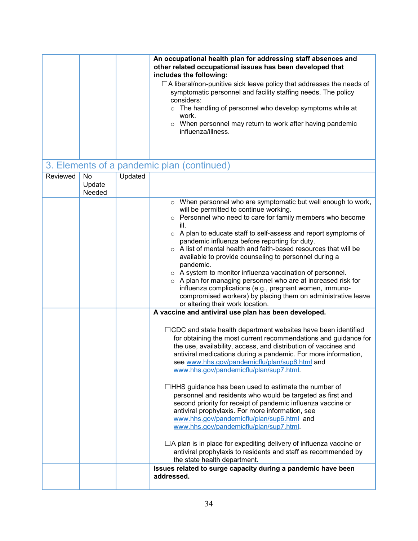|                          |                   | An occupational health plan for addressing staff absences and<br>other related occupational issues has been developed that<br>includes the following:<br>$\Box$ A liberal/non-punitive sick leave policy that addresses the needs of<br>symptomatic personnel and facility staffing needs. The policy<br>considers:<br>o The handling of personnel who develop symptoms while at<br>work.<br>o When personnel may return to work after having pandemic<br>influenza/illness.                                                                                                                                                                                                                                                                                                                                                                                                                                                                                                                                         |
|--------------------------|-------------------|----------------------------------------------------------------------------------------------------------------------------------------------------------------------------------------------------------------------------------------------------------------------------------------------------------------------------------------------------------------------------------------------------------------------------------------------------------------------------------------------------------------------------------------------------------------------------------------------------------------------------------------------------------------------------------------------------------------------------------------------------------------------------------------------------------------------------------------------------------------------------------------------------------------------------------------------------------------------------------------------------------------------|
|                          |                   | 3. Elements of a pandemic plan (continued)                                                                                                                                                                                                                                                                                                                                                                                                                                                                                                                                                                                                                                                                                                                                                                                                                                                                                                                                                                           |
| Reviewed<br>No<br>Update | Updated<br>Needed |                                                                                                                                                                                                                                                                                                                                                                                                                                                                                                                                                                                                                                                                                                                                                                                                                                                                                                                                                                                                                      |
|                          |                   | o When personnel who are symptomatic but well enough to work,<br>will be permitted to continue working.<br>o Personnel who need to care for family members who become<br>ill.<br>○ A plan to educate staff to self-assess and report symptoms of<br>pandemic influenza before reporting for duty.<br>○ A list of mental health and faith-based resources that will be<br>available to provide counseling to personnel during a<br>pandemic.<br>o A system to monitor influenza vaccination of personnel.<br>o A plan for managing personnel who are at increased risk for<br>influenza complications (e.g., pregnant women, immuno-<br>compromised workers) by placing them on administrative leave<br>or altering their work location.                                                                                                                                                                                                                                                                              |
|                          |                   | A vaccine and antiviral use plan has been developed.<br>$\Box$ CDC and state health department websites have been identified<br>for obtaining the most current recommendations and guidance for<br>the use, availability, access, and distribution of vaccines and<br>antiviral medications during a pandemic. For more information,<br>see www.hhs.gov/pandemicflu/plan/sup6.html and<br>www.hhs.gov/pandemicflu/plan/sup7.html.<br>□HHS guidance has been used to estimate the number of<br>personnel and residents who would be targeted as first and<br>second priority for receipt of pandemic influenza vaccine or<br>antiviral prophylaxis. For more information, see<br>www.hhs.gov/pandemicflu/plan/sup6.html and<br>www.hhs.gov/pandemicflu/plan/sup7.html.<br>$\Box$ A plan is in place for expediting delivery of influenza vaccine or<br>antiviral prophylaxis to residents and staff as recommended by<br>the state health department.<br>Issues related to surge capacity during a pandemic have been |
|                          |                   | addressed.                                                                                                                                                                                                                                                                                                                                                                                                                                                                                                                                                                                                                                                                                                                                                                                                                                                                                                                                                                                                           |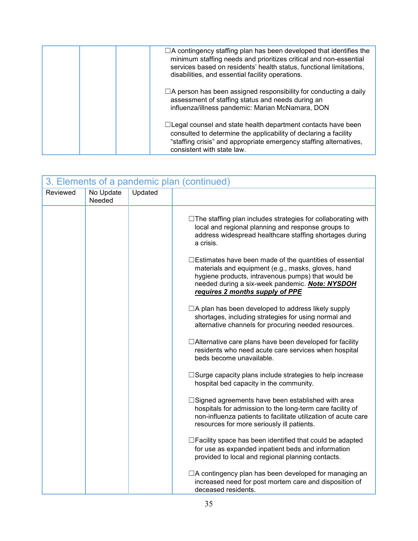| $\Box$ A contingency staffing plan has been developed that identifies the<br>minimum staffing needs and prioritizes critical and non-essential<br>services based on residents' health status, functional limitations,<br>disabilities, and essential facility operations. |
|---------------------------------------------------------------------------------------------------------------------------------------------------------------------------------------------------------------------------------------------------------------------------|
| $\Box$ A person has been assigned responsibility for conducting a daily<br>assessment of staffing status and needs during an<br>influenza/illness pandemic: Marian McNamara, DON                                                                                          |
| $\Box$ Legal counsel and state health department contacts have been<br>consulted to determine the applicability of declaring a facility<br>"staffing crisis" and appropriate emergency staffing alternatives,<br>consistent with state law.                               |

| 3. Elements of a pandemic plan (continued) |                     |         |                                                                                                                                                                                                                                                                  |  |
|--------------------------------------------|---------------------|---------|------------------------------------------------------------------------------------------------------------------------------------------------------------------------------------------------------------------------------------------------------------------|--|
| Reviewed                                   | No Update<br>Needed | Updated |                                                                                                                                                                                                                                                                  |  |
|                                            |                     |         | $\Box$ The staffing plan includes strategies for collaborating with<br>local and regional planning and response groups to<br>address widespread healthcare staffing shortages during<br>a crisis.                                                                |  |
|                                            |                     |         | $\Box$ Estimates have been made of the quantities of essential<br>materials and equipment (e.g., masks, gloves, hand<br>hygiene products, intravenous pumps) that would be<br>needed during a six-week pandemic. Note: NYSDOH<br>requires 2 months supply of PPE |  |
|                                            |                     |         | $\Box$ A plan has been developed to address likely supply<br>shortages, including strategies for using normal and<br>alternative channels for procuring needed resources.                                                                                        |  |
|                                            |                     |         | $\Box$ Alternative care plans have been developed for facility<br>residents who need acute care services when hospital<br>beds become unavailable.                                                                                                               |  |
|                                            |                     |         | $\square$ Surge capacity plans include strategies to help increase<br>hospital bed capacity in the community.                                                                                                                                                    |  |
|                                            |                     |         | $\square$ Signed agreements have been established with area<br>hospitals for admission to the long-term care facility of<br>non-influenza patients to facilitate utilization of acute care<br>resources for more seriously ill patients.                         |  |
|                                            |                     |         | $\Box$ Facility space has been identified that could be adapted<br>for use as expanded inpatient beds and information<br>provided to local and regional planning contacts.                                                                                       |  |
|                                            |                     |         | $\Box$ A contingency plan has been developed for managing an<br>increased need for post mortem care and disposition of<br>deceased residents.                                                                                                                    |  |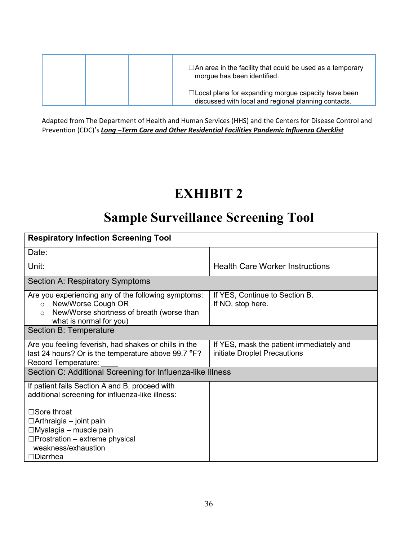|  | $\Box$ An area in the facility that could be used as a temporary<br>morgue has been identified.                    |
|--|--------------------------------------------------------------------------------------------------------------------|
|  | $\Box$ Local plans for expanding morgue capacity have been<br>discussed with local and regional planning contacts. |

Adapted from The Department of Health and Human Services (HHS) and the Centers for Disease Control and Prevention (CDC)'s *Long –Term Care and Other Residential Facilities Pandemic Influenza Checklist*

# **EXHIBIT 2**

# **Sample Surveillance Screening Tool**

| <b>Respiratory Infection Screening Tool</b>                                                                                                                              |                                                                          |  |  |  |  |
|--------------------------------------------------------------------------------------------------------------------------------------------------------------------------|--------------------------------------------------------------------------|--|--|--|--|
| Date:                                                                                                                                                                    |                                                                          |  |  |  |  |
| Unit:                                                                                                                                                                    | <b>Health Care Worker Instructions</b>                                   |  |  |  |  |
| Section A: Respiratory Symptoms                                                                                                                                          |                                                                          |  |  |  |  |
| Are you experiencing any of the following symptoms:<br>New/Worse Cough OR<br>$\Omega$<br>New/Worse shortness of breath (worse than<br>$\circ$<br>what is normal for you) | If YES, Continue to Section B.<br>If NO, stop here.                      |  |  |  |  |
| Section B: Temperature                                                                                                                                                   |                                                                          |  |  |  |  |
| Are you feeling feverish, had shakes or chills in the<br>last 24 hours? Or is the temperature above 99.7 °F?<br>Record Temperature:                                      | If YES, mask the patient immediately and<br>initiate Droplet Precautions |  |  |  |  |
| Section C: Additional Screening for Influenza-like Illness                                                                                                               |                                                                          |  |  |  |  |
| If patient fails Section A and B, proceed with<br>additional screening for influenza-like illness:                                                                       |                                                                          |  |  |  |  |
| $\Box$ Sore throat<br>$\Box$ Arthraigia – joint pain                                                                                                                     |                                                                          |  |  |  |  |
| $\Box$ Myalagia – muscle pain<br>$\Box$ Prostration – extreme physical<br>weakness/exhaustion<br>$\Box$ Diarrhea                                                         |                                                                          |  |  |  |  |